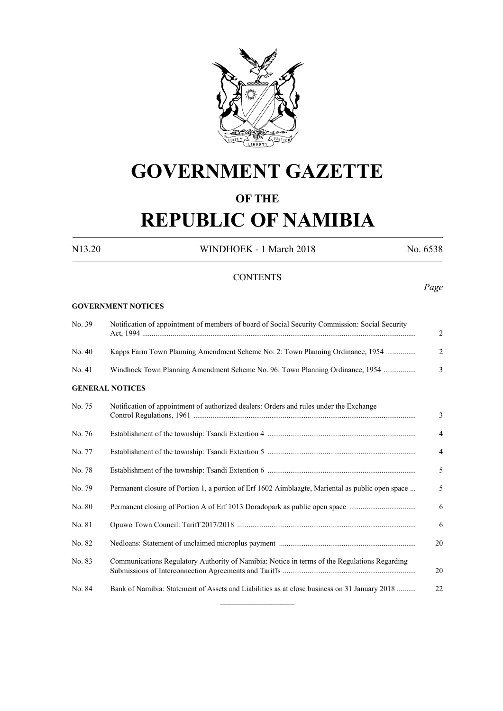

# **GOVERNMENT GAZETTE**

# **OF THE**

# **REPUBLIC OF NAMIBIA**

N13.20 WINDHOEK - 1 March 2018 No. 6538

### **CONTENTS**

## *Page*

#### **GOVERNMENT NOTICES**

| No. 39 | Notification of appointment of members of board of Social Security Commission: Social Security   | 2              |
|--------|--------------------------------------------------------------------------------------------------|----------------|
| No. 40 | Kapps Farm Town Planning Amendment Scheme No: 2: Town Planning Ordinance, 1954                   | 2              |
| No. 41 | Windhoek Town Planning Amendment Scheme No. 96: Town Planning Ordinance, 1954                    | 3              |
|        | <b>GENERAL NOTICES</b>                                                                           |                |
| No. 75 | Notification of appointment of authorized dealers: Orders and rules under the Exchange           | 3              |
| No. 76 |                                                                                                  | $\overline{4}$ |
| No. 77 |                                                                                                  | $\overline{4}$ |
| No. 78 |                                                                                                  | 5              |
| No. 79 | Permanent closure of Portion 1, a portion of Erf 1602 Aimblaagte, Mariental as public open space | 5              |
| No. 80 | Permanent closing of Portion A of Erf 1013 Doradopark as public open space                       | 6              |
| No. 81 |                                                                                                  | 6              |
| No. 82 |                                                                                                  | 20             |
| No. 83 | Communications Regulatory Authority of Namibia: Notice in terms of the Regulations Regarding     | 20             |
| No. 84 | Bank of Namibia: Statement of Assets and Liabilities as at close business on 31 January 2018     | 22             |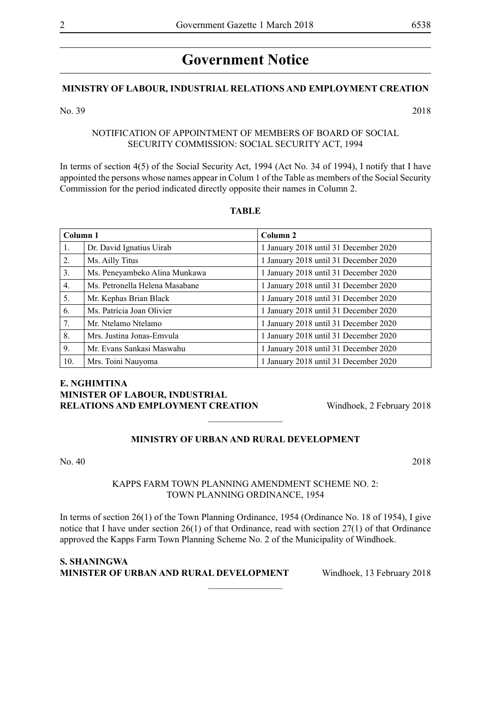# **Government Notice**

#### **MINISTRY OF LABOUR, INDUSTRIAL RELATIONS AND EMPLOYMENT CREATION**

#### No. 39 2018

#### NOTIFICATION OF APPOINTMENT OF MEMBERS OF BOARD OF SOCIAL SECURITY COMMISSION: SOCIAL SECURITY ACT, 1994

In terms of section 4(5) of the Social Security Act, 1994 (Act No. 34 of 1994), I notify that I have appointed the persons whose names appear in Colum 1 of the Table as members of the Social Security Commission for the period indicated directly opposite their names in Column 2.

#### **TABLE**

| Column 1         |                                | Column <sub>2</sub>                   |
|------------------|--------------------------------|---------------------------------------|
| 1.               | Dr. David Ignatius Uirab       | 1 January 2018 until 31 December 2020 |
| 2.               | Ms. Ailly Titus                | 1 January 2018 until 31 December 2020 |
| 3.               | Ms. Peneyambeko Alina Munkawa  | 1 January 2018 until 31 December 2020 |
| $\overline{4}$ . | Ms. Petronella Helena Masabane | 1 January 2018 until 31 December 2020 |
| 5.               | Mr. Kephas Brian Black         | 1 January 2018 until 31 December 2020 |
| 6.               | Ms. Patricia Joan Olivier      | 1 January 2018 until 31 December 2020 |
| 7.               | Mr. Ntelamo Ntelamo            | 1 January 2018 until 31 December 2020 |
| 8.               | Mrs. Justina Jonas-Emvula      | 1 January 2018 until 31 December 2020 |
| 9.               | Mr. Evans Sankasi Maswahu      | 1 January 2018 until 31 December 2020 |
| 10.              | Mrs. Toini Nauyoma             | 1 January 2018 until 31 December 2020 |

#### **e. nghimtina MINISTER OF LABOUR, INDUSTRIAL RELATIONS AND EMPLOYMENT CREATION** Windhoek, 2 February 2018

#### **MINISTRY OF URBAN AND RURAL DEVELOPMENT**

 $\frac{1}{2}$ 

No. 40 2018

#### KAPPS FARM TOWN PLANNING AMENDMENT SCHEME NO. 2: TOWN PLANNING ORDINANCE, 1954

In terms of section 26(1) of the Town Planning Ordinance, 1954 (Ordinance No. 18 of 1954), I give notice that I have under section 26(1) of that Ordinance, read with section 27(1) of that Ordinance approved the Kapps Farm Town Planning Scheme No. 2 of the Municipality of Windhoek.

 $\overline{\phantom{a}}$  , where  $\overline{\phantom{a}}$ 

**S. Shaningwa Minister of Urban and Rural Development** Windhoek, 13 February 2018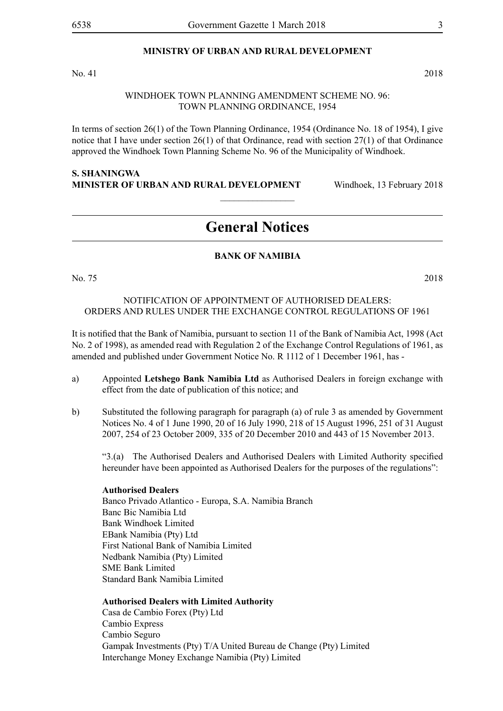#### **MINISTRY OF URBAN AND RURAL DEVELOPMENT**

No. 41 2018

#### WINDHOEK TOWN PLANNING AMENDMENT SCHEME NO. 96: TOWN PLANNING ORDINANCE, 1954

In terms of section 26(1) of the Town Planning Ordinance, 1954 (Ordinance No. 18 of 1954), I give notice that I have under section 26(1) of that Ordinance, read with section 27(1) of that Ordinance approved the Windhoek Town Planning Scheme No. 96 of the Municipality of Windhoek.

#### **S. Shaningwa Minister of Urban and Rural Development** Windhoek, 13 February 2018

# **General Notices**

 $\frac{1}{2}$ 

#### **BANK OF NAMIBIA**

No. 75 2018

#### NOTIFICATION OF APPOINTMENT OF AUTHORISED DEALERS: ORDERS AND RULES UNDER THE EXCHANGE CONTROL REGULATIONS OF 1961

It is notified that the Bank of Namibia, pursuant to section 11 of the Bank of Namibia Act, 1998 (Act No. 2 of 1998), as amended read with Regulation 2 of the Exchange Control Regulations of 1961, as amended and published under Government Notice No. R 1112 of 1 December 1961, has -

- a) Appointed **Letshego Bank Namibia Ltd** as Authorised Dealers in foreign exchange with effect from the date of publication of this notice; and
- b) Substituted the following paragraph for paragraph (a) of rule 3 as amended by Government Notices No. 4 of 1 June 1990, 20 of 16 July 1990, 218 of 15 August 1996, 251 of 31 August 2007, 254 of 23 October 2009, 335 of 20 December 2010 and 443 of 15 November 2013.

"3.(a) The Authorised Dealers and Authorised Dealers with Limited Authority specified hereunder have been appointed as Authorised Dealers for the purposes of the regulations":

#### **Authorised Dealers**

Banco Privado Atlantico - Europa, S.A. Namibia Branch Banc Bic Namibia Ltd Bank Windhoek Limited EBank Namibia (Pty) Ltd First National Bank of Namibia Limited Nedbank Namibia (Pty) Limited SME Bank Limited Standard Bank Namibia Limited

#### **Authorised Dealers with Limited Authority**

Casa de Cambio Forex (Pty) Ltd Cambio Express Cambio Seguro Gampak Investments (Pty) T/A United Bureau de Change (Pty) Limited Interchange Money Exchange Namibia (Pty) Limited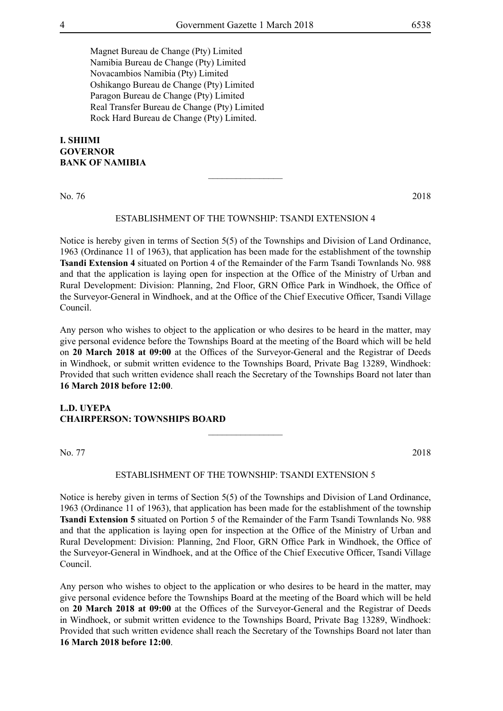Magnet Bureau de Change (Pty) Limited Namibia Bureau de Change (Pty) Limited Novacambios Namibia (Pty) Limited Oshikango Bureau de Change (Pty) Limited Paragon Bureau de Change (Pty) Limited Real Transfer Bureau de Change (Pty) Limited Rock Hard Bureau de Change (Pty) Limited.

#### **I. Shiimi Governor Bank of Namibia**

No. 76 2018

#### ESTABLISHMENT OF THE TOWNSHIP: TSANDI EXTENSION 4

 $\overline{\phantom{a}}$  , where  $\overline{\phantom{a}}$ 

Notice is hereby given in terms of Section 5(5) of the Townships and Division of Land Ordinance, 1963 (Ordinance 11 of 1963), that application has been made for the establishment of the township **Tsandi Extension 4** situated on Portion 4 of the Remainder of the Farm Tsandi Townlands No. 988 and that the application is laying open for inspection at the Office of the Ministry of Urban and Rural Development: Division: Planning, 2nd Floor, GRN Office Park in Windhoek, the Office of the Surveyor-General in Windhoek, and at the Office of the Chief Executive Officer, Tsandi Village Council.

Any person who wishes to object to the application or who desires to be heard in the matter, may give personal evidence before the Townships Board at the meeting of the Board which will be held on **20 March 2018 at 09:00** at the Offices of the Surveyor-General and the Registrar of Deeds in Windhoek, or submit written evidence to the Townships Board, Private Bag 13289, Windhoek: Provided that such written evidence shall reach the Secretary of the Townships Board not later than **16 March 2018 before 12:00**.

#### **L.D. UYEPA CHAIRPERSON: TOWNSHIPS BOARD**

No. 77 2018

# ESTABLISHMENT OF THE TOWNSHIP: TSANDI EXTENSION 5

 $\frac{1}{2}$ 

Notice is hereby given in terms of Section 5(5) of the Townships and Division of Land Ordinance, 1963 (Ordinance 11 of 1963), that application has been made for the establishment of the township **Tsandi Extension 5** situated on Portion 5 of the Remainder of the Farm Tsandi Townlands No. 988 and that the application is laying open for inspection at the Office of the Ministry of Urban and Rural Development: Division: Planning, 2nd Floor, GRN Office Park in Windhoek, the Office of the Surveyor-General in Windhoek, and at the Office of the Chief Executive Officer, Tsandi Village Council.

Any person who wishes to object to the application or who desires to be heard in the matter, may give personal evidence before the Townships Board at the meeting of the Board which will be held on **20 March 2018 at 09:00** at the Offices of the Surveyor-General and the Registrar of Deeds in Windhoek, or submit written evidence to the Townships Board, Private Bag 13289, Windhoek: Provided that such written evidence shall reach the Secretary of the Townships Board not later than **16 March 2018 before 12:00**.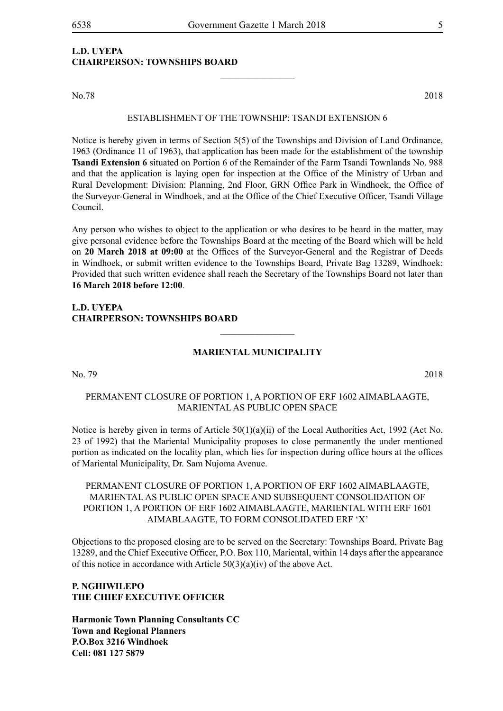#### **L.D. UYEPA CHAIRPERSON: TOWNSHIPS BOARD**

No.78 2018

#### ESTABLISHMENT OF THE TOWNSHIP: TSANDI EXTENSION 6

 $\frac{1}{2}$ 

Notice is hereby given in terms of Section 5(5) of the Townships and Division of Land Ordinance, 1963 (Ordinance 11 of 1963), that application has been made for the establishment of the township **Tsandi Extension 6** situated on Portion 6 of the Remainder of the Farm Tsandi Townlands No. 988 and that the application is laying open for inspection at the Office of the Ministry of Urban and Rural Development: Division: Planning, 2nd Floor, GRN Office Park in Windhoek, the Office of the Surveyor-General in Windhoek, and at the Office of the Chief Executive Officer, Tsandi Village Council.

Any person who wishes to object to the application or who desires to be heard in the matter, may give personal evidence before the Townships Board at the meeting of the Board which will be held on **20 March 2018 at 09:00** at the Offices of the Surveyor-General and the Registrar of Deeds in Windhoek, or submit written evidence to the Townships Board, Private Bag 13289, Windhoek: Provided that such written evidence shall reach the Secretary of the Townships Board not later than **16 March 2018 before 12:00**.

#### **L.D. UYEPA CHAIRPERSON: TOWNSHIPS BOARD**

#### **Mariental Municipality**

 $\overline{\phantom{a}}$  , where  $\overline{\phantom{a}}$ 

No. 79 2018

#### PERMANENT CLOSURE OF PORTION 1, A PORTION OF ERF 1602 AIMABLAAGTE, MARIENTAL AS PUBLIC OPEN SPACE

Notice is hereby given in terms of Article  $50(1)(a)(ii)$  of the Local Authorities Act, 1992 (Act No. 23 of 1992) that the Mariental Municipality proposes to close permanently the under mentioned portion as indicated on the locality plan, which lies for inspection during office hours at the offices of Mariental Municipality, Dr. Sam Nujoma Avenue.

PERMANENT CLOSURE OF PORTION 1, A PORTION OF ERF 1602 AIMABLAAGTE, MARIENTAL AS PUBLIC OPEN SPACE AND SUBSEQUENT CONSOLIDATION OF PORTION 1, A PORTION OF ERF 1602 AIMABLAAGTE, MARIENTAL WITH ERF 1601 AIMABLAAGTE, TO FORM CONSOLIDATED ERF 'X'

Objections to the proposed closing are to be served on the Secretary: Townships Board, Private Bag 13289, and the Chief Executive Officer, P.O. Box 110, Mariental, within 14 days after the appearance of this notice in accordance with Article  $50(3)(a)(iv)$  of the above Act.

#### **P. NGHIWILEPO THE CHIEF EXECUTIVE OFFICER**

**Harmonic Town Planning Consultants CC Town and Regional Planners P.O.Box 3216 Windhoek Cell: 081 127 5879**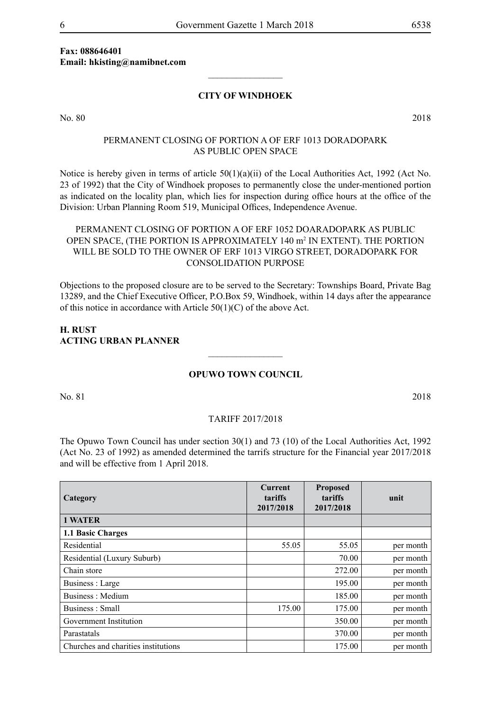#### **Fax: 088646401 Email: hkisting@namibnet.com**

#### **CITY OF WINDHOEK**

 $\frac{1}{2}$ 

No. 80 2018

#### PERMANENT CLOSING OF PORTION A OF ERF 1013 DORADOPARK AS PUBLIC OPEN SPACE

Notice is hereby given in terms of article  $50(1)(a)(ii)$  of the Local Authorities Act, 1992 (Act No. 23 of 1992) that the City of Windhoek proposes to permanently close the under-mentioned portion as indicated on the locality plan, which lies for inspection during office hours at the office of the Division: Urban Planning Room 519, Municipal Offices, Independence Avenue.

#### PERMANENT CLOSING OF PORTION A OF ERF 1052 DOARADOPARK AS PUBLIC OPEN SPACE, (THE PORTION IS APPROXIMATELY 140 m<sup>2</sup> IN EXTENT). THE PORTION WILL BE SOLD TO THE OWNER OF ERF 1013 VIRGO STREET, DORADOPARK FOR CONSOLIDATION PURPOSE

Objections to the proposed closure are to be served to the Secretary: Townships Board, Private Bag 13289, and the Chief Executive Officer, P.O.Box 59, Windhoek, within 14 days after the appearance of this notice in accordance with Article  $50(1)(C)$  of the above Act.

#### **H. RUST ACTING URBAN PLANNER**

#### **Opuwo Town Council**

 $\frac{1}{2}$ 

No. 81 2018

#### TARIFF 2017/2018

The Opuwo Town Council has under section 30(1) and 73 (10) of the Local Authorities Act, 1992 (Act No. 23 of 1992) as amended determined the tarrifs structure for the Financial year 2017/2018 and will be effective from 1 April 2018.

| Category                            | <b>Current</b><br>tariffs<br>2017/2018 | <b>Proposed</b><br>tariffs<br>2017/2018 | unit      |
|-------------------------------------|----------------------------------------|-----------------------------------------|-----------|
| <b>1 WATER</b>                      |                                        |                                         |           |
| 1.1 Basic Charges                   |                                        |                                         |           |
| Residential                         | 55.05                                  | 55.05                                   | per month |
| Residential (Luxury Suburb)         |                                        | 70.00                                   | per month |
| Chain store                         |                                        | 272.00                                  | per month |
| Business : Large                    |                                        | 195.00                                  | per month |
| Business: Medium                    |                                        | 185.00                                  | per month |
| Business: Small                     | 175.00                                 | 175.00                                  | per month |
| Government Institution              |                                        | 350.00                                  | per month |
| Parastatals                         |                                        | 370.00                                  | per month |
| Churches and charities institutions |                                        | 175.00                                  | per month |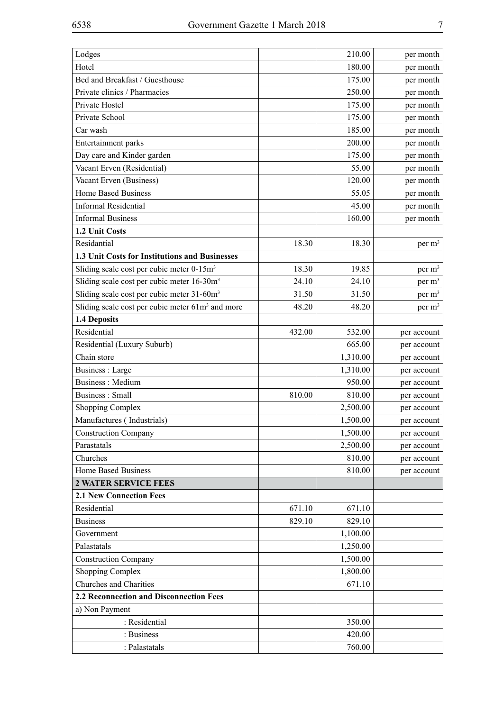| Hotel<br>180.00<br>per month<br>Bed and Breakfast / Guesthouse<br>175.00<br>per month<br>Private clinics / Pharmacies<br>250.00<br>per month<br>Private Hostel<br>175.00<br>per month<br>Private School<br>175.00<br>per month<br>Car wash<br>185.00<br>per month<br>Entertainment parks<br>200.00<br>per month<br>Day care and Kinder garden<br>175.00<br>per month<br>Vacant Erven (Residential)<br>55.00<br>per month<br>Vacant Erven (Business)<br>120.00<br>per month<br>Home Based Business<br>55.05<br>per month<br><b>Informal Residential</b><br>45.00<br>per month<br><b>Informal Business</b><br>160.00<br>per month<br>1.2 Unit Costs<br>Residantial<br>18.30<br>per m <sup>3</sup><br>18.30<br>1.3 Unit Costs for Institutions and Businesses<br>Sliding scale cost per cubic meter 0-15m <sup>3</sup><br>per m <sup>3</sup><br>18.30<br>19.85<br>Sliding scale cost per cubic meter 16-30m <sup>3</sup><br>24.10<br>24.10<br>per m <sup>3</sup><br>Sliding scale cost per cubic meter 31-60m <sup>3</sup><br>31.50<br>31.50<br>per m <sup>3</sup><br>Sliding scale cost per cubic meter 61m <sup>3</sup> and more<br>48.20<br>48.20<br>per m <sup>3</sup><br>1.4 Deposits<br>Residential<br>432.00<br>532.00<br>per account<br>665.00<br>Residential (Luxury Suburb)<br>per account<br>Chain store<br>1,310.00<br>per account<br>Business : Large<br>1,310.00<br>per account |
|--------------------------------------------------------------------------------------------------------------------------------------------------------------------------------------------------------------------------------------------------------------------------------------------------------------------------------------------------------------------------------------------------------------------------------------------------------------------------------------------------------------------------------------------------------------------------------------------------------------------------------------------------------------------------------------------------------------------------------------------------------------------------------------------------------------------------------------------------------------------------------------------------------------------------------------------------------------------------------------------------------------------------------------------------------------------------------------------------------------------------------------------------------------------------------------------------------------------------------------------------------------------------------------------------------------------------------------------------------------------------------------------|
|                                                                                                                                                                                                                                                                                                                                                                                                                                                                                                                                                                                                                                                                                                                                                                                                                                                                                                                                                                                                                                                                                                                                                                                                                                                                                                                                                                                            |
|                                                                                                                                                                                                                                                                                                                                                                                                                                                                                                                                                                                                                                                                                                                                                                                                                                                                                                                                                                                                                                                                                                                                                                                                                                                                                                                                                                                            |
|                                                                                                                                                                                                                                                                                                                                                                                                                                                                                                                                                                                                                                                                                                                                                                                                                                                                                                                                                                                                                                                                                                                                                                                                                                                                                                                                                                                            |
|                                                                                                                                                                                                                                                                                                                                                                                                                                                                                                                                                                                                                                                                                                                                                                                                                                                                                                                                                                                                                                                                                                                                                                                                                                                                                                                                                                                            |
|                                                                                                                                                                                                                                                                                                                                                                                                                                                                                                                                                                                                                                                                                                                                                                                                                                                                                                                                                                                                                                                                                                                                                                                                                                                                                                                                                                                            |
|                                                                                                                                                                                                                                                                                                                                                                                                                                                                                                                                                                                                                                                                                                                                                                                                                                                                                                                                                                                                                                                                                                                                                                                                                                                                                                                                                                                            |
|                                                                                                                                                                                                                                                                                                                                                                                                                                                                                                                                                                                                                                                                                                                                                                                                                                                                                                                                                                                                                                                                                                                                                                                                                                                                                                                                                                                            |
|                                                                                                                                                                                                                                                                                                                                                                                                                                                                                                                                                                                                                                                                                                                                                                                                                                                                                                                                                                                                                                                                                                                                                                                                                                                                                                                                                                                            |
|                                                                                                                                                                                                                                                                                                                                                                                                                                                                                                                                                                                                                                                                                                                                                                                                                                                                                                                                                                                                                                                                                                                                                                                                                                                                                                                                                                                            |
|                                                                                                                                                                                                                                                                                                                                                                                                                                                                                                                                                                                                                                                                                                                                                                                                                                                                                                                                                                                                                                                                                                                                                                                                                                                                                                                                                                                            |
|                                                                                                                                                                                                                                                                                                                                                                                                                                                                                                                                                                                                                                                                                                                                                                                                                                                                                                                                                                                                                                                                                                                                                                                                                                                                                                                                                                                            |
|                                                                                                                                                                                                                                                                                                                                                                                                                                                                                                                                                                                                                                                                                                                                                                                                                                                                                                                                                                                                                                                                                                                                                                                                                                                                                                                                                                                            |
|                                                                                                                                                                                                                                                                                                                                                                                                                                                                                                                                                                                                                                                                                                                                                                                                                                                                                                                                                                                                                                                                                                                                                                                                                                                                                                                                                                                            |
|                                                                                                                                                                                                                                                                                                                                                                                                                                                                                                                                                                                                                                                                                                                                                                                                                                                                                                                                                                                                                                                                                                                                                                                                                                                                                                                                                                                            |
|                                                                                                                                                                                                                                                                                                                                                                                                                                                                                                                                                                                                                                                                                                                                                                                                                                                                                                                                                                                                                                                                                                                                                                                                                                                                                                                                                                                            |
|                                                                                                                                                                                                                                                                                                                                                                                                                                                                                                                                                                                                                                                                                                                                                                                                                                                                                                                                                                                                                                                                                                                                                                                                                                                                                                                                                                                            |
|                                                                                                                                                                                                                                                                                                                                                                                                                                                                                                                                                                                                                                                                                                                                                                                                                                                                                                                                                                                                                                                                                                                                                                                                                                                                                                                                                                                            |
|                                                                                                                                                                                                                                                                                                                                                                                                                                                                                                                                                                                                                                                                                                                                                                                                                                                                                                                                                                                                                                                                                                                                                                                                                                                                                                                                                                                            |
|                                                                                                                                                                                                                                                                                                                                                                                                                                                                                                                                                                                                                                                                                                                                                                                                                                                                                                                                                                                                                                                                                                                                                                                                                                                                                                                                                                                            |
|                                                                                                                                                                                                                                                                                                                                                                                                                                                                                                                                                                                                                                                                                                                                                                                                                                                                                                                                                                                                                                                                                                                                                                                                                                                                                                                                                                                            |
|                                                                                                                                                                                                                                                                                                                                                                                                                                                                                                                                                                                                                                                                                                                                                                                                                                                                                                                                                                                                                                                                                                                                                                                                                                                                                                                                                                                            |
|                                                                                                                                                                                                                                                                                                                                                                                                                                                                                                                                                                                                                                                                                                                                                                                                                                                                                                                                                                                                                                                                                                                                                                                                                                                                                                                                                                                            |
|                                                                                                                                                                                                                                                                                                                                                                                                                                                                                                                                                                                                                                                                                                                                                                                                                                                                                                                                                                                                                                                                                                                                                                                                                                                                                                                                                                                            |
|                                                                                                                                                                                                                                                                                                                                                                                                                                                                                                                                                                                                                                                                                                                                                                                                                                                                                                                                                                                                                                                                                                                                                                                                                                                                                                                                                                                            |
|                                                                                                                                                                                                                                                                                                                                                                                                                                                                                                                                                                                                                                                                                                                                                                                                                                                                                                                                                                                                                                                                                                                                                                                                                                                                                                                                                                                            |
| <b>Business: Medium</b><br>950.00<br>per account                                                                                                                                                                                                                                                                                                                                                                                                                                                                                                                                                                                                                                                                                                                                                                                                                                                                                                                                                                                                                                                                                                                                                                                                                                                                                                                                           |
| Business: Small<br>810.00<br>810.00<br>per account                                                                                                                                                                                                                                                                                                                                                                                                                                                                                                                                                                                                                                                                                                                                                                                                                                                                                                                                                                                                                                                                                                                                                                                                                                                                                                                                         |
| 2,500.00<br><b>Shopping Complex</b><br>per account                                                                                                                                                                                                                                                                                                                                                                                                                                                                                                                                                                                                                                                                                                                                                                                                                                                                                                                                                                                                                                                                                                                                                                                                                                                                                                                                         |
| Manufactures (Industrials)<br>1,500.00<br>per account                                                                                                                                                                                                                                                                                                                                                                                                                                                                                                                                                                                                                                                                                                                                                                                                                                                                                                                                                                                                                                                                                                                                                                                                                                                                                                                                      |
| 1,500.00<br><b>Construction Company</b><br>per account                                                                                                                                                                                                                                                                                                                                                                                                                                                                                                                                                                                                                                                                                                                                                                                                                                                                                                                                                                                                                                                                                                                                                                                                                                                                                                                                     |
| Parastatals<br>2,500.00<br>per account                                                                                                                                                                                                                                                                                                                                                                                                                                                                                                                                                                                                                                                                                                                                                                                                                                                                                                                                                                                                                                                                                                                                                                                                                                                                                                                                                     |
| Churches<br>810.00<br>per account                                                                                                                                                                                                                                                                                                                                                                                                                                                                                                                                                                                                                                                                                                                                                                                                                                                                                                                                                                                                                                                                                                                                                                                                                                                                                                                                                          |
| <b>Home Based Business</b><br>810.00<br>per account                                                                                                                                                                                                                                                                                                                                                                                                                                                                                                                                                                                                                                                                                                                                                                                                                                                                                                                                                                                                                                                                                                                                                                                                                                                                                                                                        |
| <b>2 WATER SERVICE FEES</b>                                                                                                                                                                                                                                                                                                                                                                                                                                                                                                                                                                                                                                                                                                                                                                                                                                                                                                                                                                                                                                                                                                                                                                                                                                                                                                                                                                |
| <b>2.1 New Connection Fees</b>                                                                                                                                                                                                                                                                                                                                                                                                                                                                                                                                                                                                                                                                                                                                                                                                                                                                                                                                                                                                                                                                                                                                                                                                                                                                                                                                                             |
| Residential<br>671.10<br>671.10                                                                                                                                                                                                                                                                                                                                                                                                                                                                                                                                                                                                                                                                                                                                                                                                                                                                                                                                                                                                                                                                                                                                                                                                                                                                                                                                                            |
| <b>Business</b><br>829.10<br>829.10                                                                                                                                                                                                                                                                                                                                                                                                                                                                                                                                                                                                                                                                                                                                                                                                                                                                                                                                                                                                                                                                                                                                                                                                                                                                                                                                                        |
| Government<br>1,100.00                                                                                                                                                                                                                                                                                                                                                                                                                                                                                                                                                                                                                                                                                                                                                                                                                                                                                                                                                                                                                                                                                                                                                                                                                                                                                                                                                                     |
| Palastatals<br>1,250.00                                                                                                                                                                                                                                                                                                                                                                                                                                                                                                                                                                                                                                                                                                                                                                                                                                                                                                                                                                                                                                                                                                                                                                                                                                                                                                                                                                    |
| 1,500.00<br><b>Construction Company</b>                                                                                                                                                                                                                                                                                                                                                                                                                                                                                                                                                                                                                                                                                                                                                                                                                                                                                                                                                                                                                                                                                                                                                                                                                                                                                                                                                    |
| Shopping Complex<br>1,800.00                                                                                                                                                                                                                                                                                                                                                                                                                                                                                                                                                                                                                                                                                                                                                                                                                                                                                                                                                                                                                                                                                                                                                                                                                                                                                                                                                               |
| Churches and Charities<br>671.10                                                                                                                                                                                                                                                                                                                                                                                                                                                                                                                                                                                                                                                                                                                                                                                                                                                                                                                                                                                                                                                                                                                                                                                                                                                                                                                                                           |
| 2.2 Reconnection and Disconnection Fees                                                                                                                                                                                                                                                                                                                                                                                                                                                                                                                                                                                                                                                                                                                                                                                                                                                                                                                                                                                                                                                                                                                                                                                                                                                                                                                                                    |
| a) Non Payment                                                                                                                                                                                                                                                                                                                                                                                                                                                                                                                                                                                                                                                                                                                                                                                                                                                                                                                                                                                                                                                                                                                                                                                                                                                                                                                                                                             |
| : Residential<br>350.00                                                                                                                                                                                                                                                                                                                                                                                                                                                                                                                                                                                                                                                                                                                                                                                                                                                                                                                                                                                                                                                                                                                                                                                                                                                                                                                                                                    |
| : Business<br>420.00                                                                                                                                                                                                                                                                                                                                                                                                                                                                                                                                                                                                                                                                                                                                                                                                                                                                                                                                                                                                                                                                                                                                                                                                                                                                                                                                                                       |
| : Palastatals<br>760.00                                                                                                                                                                                                                                                                                                                                                                                                                                                                                                                                                                                                                                                                                                                                                                                                                                                                                                                                                                                                                                                                                                                                                                                                                                                                                                                                                                    |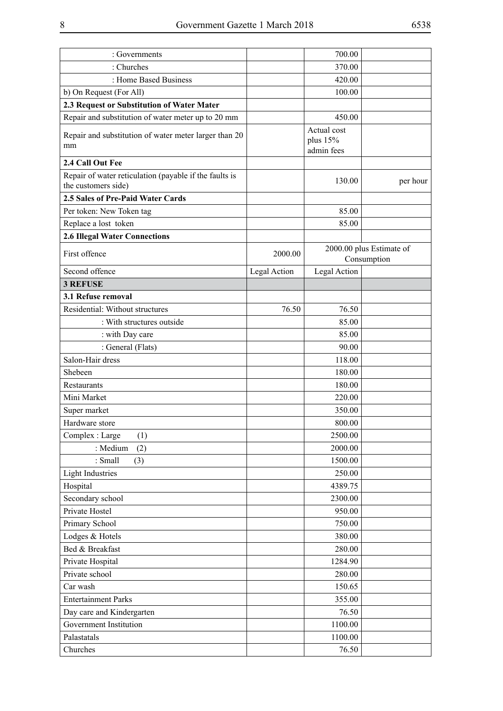| : Governments                                                                 |              | 700.00                                |                                         |
|-------------------------------------------------------------------------------|--------------|---------------------------------------|-----------------------------------------|
| : Churches                                                                    |              | 370.00                                |                                         |
| : Home Based Business                                                         |              | 420.00                                |                                         |
| b) On Request (For All)                                                       |              | 100.00                                |                                         |
| 2.3 Request or Substitution of Water Mater                                    |              |                                       |                                         |
| Repair and substitution of water meter up to 20 mm                            |              | 450.00                                |                                         |
| Repair and substitution of water meter larger than 20<br>mm                   |              | Actual cost<br>plus 15%<br>admin fees |                                         |
| 2.4 Call Out Fee                                                              |              |                                       |                                         |
| Repair of water reticulation (payable if the faults is<br>the customers side) |              | 130.00                                | per hour                                |
| 2.5 Sales of Pre-Paid Water Cards                                             |              |                                       |                                         |
| Per token: New Token tag                                                      |              | 85.00                                 |                                         |
| Replace a lost token                                                          |              | 85.00                                 |                                         |
| <b>2.6 Illegal Water Connections</b>                                          |              |                                       |                                         |
| First offence                                                                 | 2000.00      |                                       | 2000.00 plus Estimate of<br>Consumption |
| Second offence                                                                | Legal Action | Legal Action                          |                                         |
| <b>3 REFUSE</b>                                                               |              |                                       |                                         |
| 3.1 Refuse removal                                                            |              |                                       |                                         |
| Residential: Without structures                                               | 76.50        | 76.50                                 |                                         |
| : With structures outside                                                     |              | 85.00                                 |                                         |
| : with Day care                                                               |              | 85.00                                 |                                         |
| : General (Flats)                                                             |              | 90.00                                 |                                         |
| Salon-Hair dress                                                              |              | 118.00                                |                                         |
| Shebeen                                                                       |              | 180.00                                |                                         |
| <b>Restaurants</b>                                                            |              | 180.00                                |                                         |
| Mini Market                                                                   |              | 220.00                                |                                         |
| Super market                                                                  |              | 350.00                                |                                         |
| Hardware store                                                                |              | 800.00                                |                                         |
| Complex: Large<br>(1)                                                         |              | 2500.00                               |                                         |
| : Medium<br>(2)                                                               |              | 2000.00                               |                                         |
| : Small<br>(3)                                                                |              | 1500.00                               |                                         |
| <b>Light Industries</b>                                                       |              | 250.00                                |                                         |
| Hospital                                                                      |              | 4389.75                               |                                         |
| Secondary school                                                              |              | 2300.00                               |                                         |
| Private Hostel                                                                |              | 950.00                                |                                         |
| Primary School                                                                |              | 750.00                                |                                         |
| Lodges & Hotels                                                               |              | 380.00                                |                                         |
| Bed & Breakfast                                                               |              | 280.00                                |                                         |
| Private Hospital                                                              |              | 1284.90                               |                                         |
| Private school                                                                |              | 280.00                                |                                         |
| Car wash                                                                      |              | 150.65                                |                                         |
| <b>Entertainment Parks</b>                                                    |              | 355.00                                |                                         |
| Day care and Kindergarten                                                     |              | 76.50                                 |                                         |
| Government Institution                                                        |              | 1100.00                               |                                         |
| Palastatals                                                                   |              | 1100.00                               |                                         |
| Churches                                                                      |              | 76.50                                 |                                         |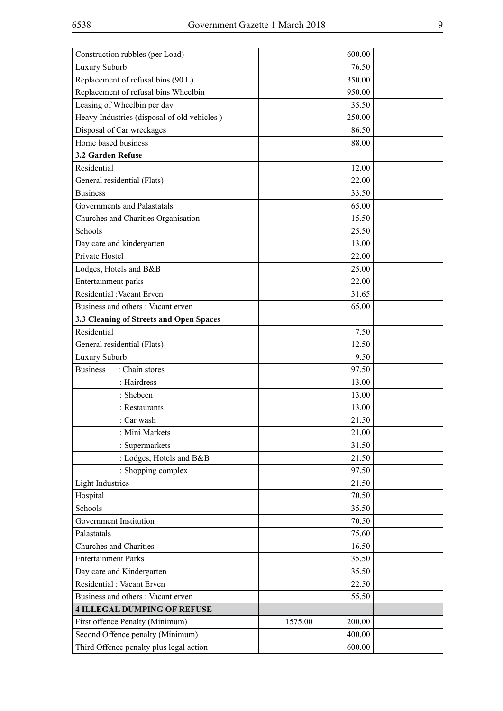| Construction rubbles (per Load)             |         | 600.00 |  |
|---------------------------------------------|---------|--------|--|
| Luxury Suburb                               |         | 76.50  |  |
| Replacement of refusal bins (90 L)          |         | 350.00 |  |
| Replacement of refusal bins Wheelbin        |         | 950.00 |  |
| Leasing of Wheelbin per day                 |         | 35.50  |  |
| Heavy Industries (disposal of old vehicles) |         | 250.00 |  |
| Disposal of Car wreckages                   |         | 86.50  |  |
| Home based business                         |         | 88.00  |  |
| 3.2 Garden Refuse                           |         |        |  |
| Residential                                 |         | 12.00  |  |
| General residential (Flats)                 |         | 22.00  |  |
| <b>Business</b>                             |         | 33.50  |  |
| Governments and Palastatals                 |         | 65.00  |  |
| Churches and Charities Organisation         |         | 15.50  |  |
| Schools                                     |         | 25.50  |  |
| Day care and kindergarten                   |         | 13.00  |  |
| Private Hostel                              |         | 22.00  |  |
| Lodges, Hotels and B&B                      |         | 25.00  |  |
| Entertainment parks                         |         | 22.00  |  |
| Residential : Vacant Erven                  |         | 31.65  |  |
| Business and others: Vacant erven           |         | 65.00  |  |
| 3.3 Cleaning of Streets and Open Spaces     |         |        |  |
| Residential                                 |         | 7.50   |  |
| General residential (Flats)                 |         | 12.50  |  |
| Luxury Suburb                               |         | 9.50   |  |
| <b>Business</b><br>: Chain stores           |         | 97.50  |  |
| : Hairdress                                 |         | 13.00  |  |
| : Shebeen                                   |         | 13.00  |  |
| : Restaurants                               |         | 13.00  |  |
| : Car wash                                  |         | 21.50  |  |
| : Mini Markets                              |         | 21.00  |  |
| : Supermarkets                              |         | 31.50  |  |
| : Lodges, Hotels and B&B                    |         | 21.50  |  |
| : Shopping complex                          |         | 97.50  |  |
| <b>Light Industries</b>                     |         | 21.50  |  |
| Hospital                                    |         | 70.50  |  |
| Schools                                     |         | 35.50  |  |
| Government Institution                      |         | 70.50  |  |
| Palastatals                                 |         | 75.60  |  |
| Churches and Charities                      |         | 16.50  |  |
| <b>Entertainment Parks</b>                  |         | 35.50  |  |
| Day care and Kindergarten                   |         | 35.50  |  |
| Residential: Vacant Erven                   |         | 22.50  |  |
| Business and others: Vacant erven           |         | 55.50  |  |
| <b>4 ILLEGAL DUMPING OF REFUSE</b>          |         |        |  |
| First offence Penalty (Minimum)             | 1575.00 | 200.00 |  |
| Second Offence penalty (Minimum)            |         | 400.00 |  |
| Third Offence penalty plus legal action     |         | 600.00 |  |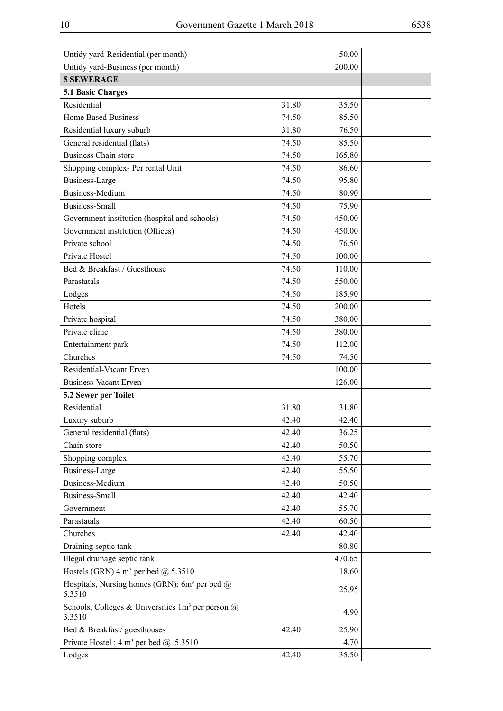| Untidy yard-Residential (per month)                                        |       | 50.00  |  |
|----------------------------------------------------------------------------|-------|--------|--|
| Untidy yard-Business (per month)                                           |       | 200.00 |  |
| <b>5 SEWERAGE</b>                                                          |       |        |  |
| 5.1 Basic Charges                                                          |       |        |  |
| Residential                                                                | 31.80 | 35.50  |  |
| <b>Home Based Business</b>                                                 | 74.50 | 85.50  |  |
| Residential luxury suburb                                                  | 31.80 | 76.50  |  |
| General residential (flats)                                                | 74.50 | 85.50  |  |
| <b>Business Chain store</b>                                                | 74.50 | 165.80 |  |
| Shopping complex- Per rental Unit                                          | 74.50 | 86.60  |  |
| <b>Business-Large</b>                                                      | 74.50 | 95.80  |  |
| <b>Business-Medium</b>                                                     | 74.50 | 80.90  |  |
| <b>Business-Small</b>                                                      | 74.50 | 75.90  |  |
| Government institution (hospital and schools)                              | 74.50 | 450.00 |  |
| Government institution (Offices)                                           | 74.50 | 450.00 |  |
| Private school                                                             | 74.50 | 76.50  |  |
| Private Hostel                                                             | 74.50 | 100.00 |  |
| Bed & Breakfast / Guesthouse                                               | 74.50 | 110.00 |  |
| Parastatals                                                                | 74.50 | 550.00 |  |
| Lodges                                                                     | 74.50 | 185.90 |  |
| Hotels                                                                     | 74.50 | 200.00 |  |
| Private hospital                                                           | 74.50 | 380.00 |  |
| Private clinic                                                             | 74.50 | 380.00 |  |
| Entertainment park                                                         | 74.50 | 112.00 |  |
| Churches                                                                   | 74.50 | 74.50  |  |
| Residential-Vacant Erven                                                   |       | 100.00 |  |
| <b>Business-Vacant Erven</b>                                               |       | 126.00 |  |
| 5.2 Sewer per Toilet                                                       |       |        |  |
| Residential                                                                | 31.80 | 31.80  |  |
| Luxury suburb                                                              | 42.40 | 42.40  |  |
| General residential (flats)                                                | 42.40 | 36.25  |  |
| Chain store                                                                | 42.40 | 50.50  |  |
| Shopping complex                                                           | 42.40 | 55.70  |  |
| <b>Business-Large</b>                                                      | 42.40 | 55.50  |  |
| <b>Business-Medium</b>                                                     | 42.40 | 50.50  |  |
| <b>Business-Small</b>                                                      | 42.40 | 42.40  |  |
| Government                                                                 | 42.40 | 55.70  |  |
| Parastatals                                                                | 42.40 | 60.50  |  |
| Churches                                                                   | 42.40 | 42.40  |  |
| Draining septic tank                                                       |       | 80.80  |  |
| Illegal drainage septic tank                                               |       | 470.65 |  |
| Hostels (GRN) 4 m <sup>3</sup> per bed @ 5.3510                            |       | 18.60  |  |
| Hospitals, Nursing homes (GRN): 6m <sup>3</sup> per bed $\omega$<br>5.3510 |       | 25.95  |  |
| Schools, Colleges & Universities $1m^3$ per person $\omega$<br>3.3510      |       | 4.90   |  |
| Bed & Breakfast/ guesthouses                                               | 42.40 | 25.90  |  |
| Private Hostel: $4 \text{ m}^3$ per bed $\omega$ , 5.3510                  |       | 4.70   |  |
| Lodges                                                                     | 42.40 | 35.50  |  |

 $\overline{a}$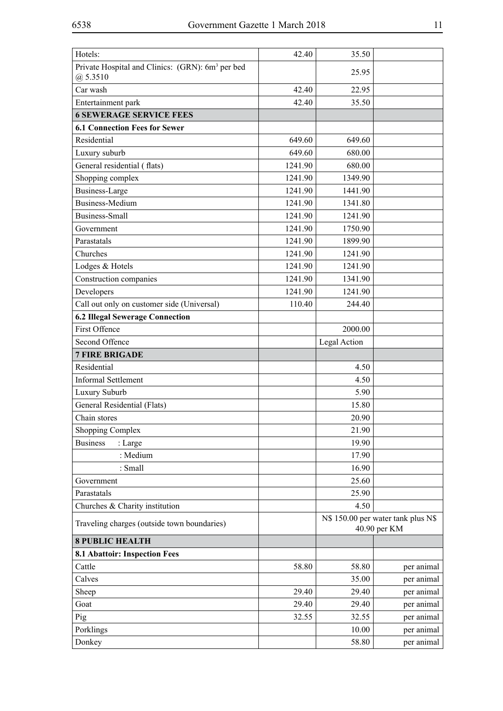| Hotels:                                                                    | 42.40   | 35.50        |                                                    |
|----------------------------------------------------------------------------|---------|--------------|----------------------------------------------------|
| Private Hospital and Clinics: (GRN): 6m <sup>3</sup> per bed<br>(a) 5.3510 |         | 25.95        |                                                    |
| Car wash                                                                   | 42.40   | 22.95        |                                                    |
| Entertainment park                                                         | 42.40   | 35.50        |                                                    |
| <b>6 SEWERAGE SERVICE FEES</b>                                             |         |              |                                                    |
| <b>6.1 Connection Fees for Sewer</b>                                       |         |              |                                                    |
| Residential                                                                | 649.60  | 649.60       |                                                    |
| Luxury suburb                                                              | 649.60  | 680.00       |                                                    |
| General residential (flats)                                                | 1241.90 | 680.00       |                                                    |
| Shopping complex                                                           | 1241.90 | 1349.90      |                                                    |
| Business-Large                                                             | 1241.90 | 1441.90      |                                                    |
| <b>Business-Medium</b>                                                     | 1241.90 | 1341.80      |                                                    |
| Business-Small                                                             | 1241.90 | 1241.90      |                                                    |
| Government                                                                 | 1241.90 | 1750.90      |                                                    |
| Parastatals                                                                | 1241.90 | 1899.90      |                                                    |
| Churches                                                                   | 1241.90 | 1241.90      |                                                    |
| Lodges & Hotels                                                            | 1241.90 | 1241.90      |                                                    |
| Construction companies                                                     | 1241.90 | 1341.90      |                                                    |
| Developers                                                                 | 1241.90 | 1241.90      |                                                    |
| Call out only on customer side (Universal)                                 | 110.40  | 244.40       |                                                    |
| <b>6.2 Illegal Sewerage Connection</b>                                     |         |              |                                                    |
| <b>First Offence</b>                                                       |         | 2000.00      |                                                    |
| Second Offence                                                             |         | Legal Action |                                                    |
| <b>7 FIRE BRIGADE</b>                                                      |         |              |                                                    |
| Residential                                                                |         | 4.50         |                                                    |
| <b>Informal Settlement</b>                                                 |         | 4.50         |                                                    |
| Luxury Suburb                                                              |         | 5.90         |                                                    |
| General Residential (Flats)                                                |         | 15.80        |                                                    |
| Chain stores                                                               |         | 20.90        |                                                    |
| <b>Shopping Complex</b>                                                    |         | 21.90        |                                                    |
| <b>Business</b><br>: Large                                                 |         | 19.90        |                                                    |
| : Medium                                                                   |         | 17.90        |                                                    |
| : Small                                                                    |         | 16.90        |                                                    |
| Government                                                                 |         | 25.60        |                                                    |
| Parastatals                                                                |         | 25.90        |                                                    |
| Churches & Charity institution                                             |         | 4.50         |                                                    |
| Traveling charges (outside town boundaries)                                |         |              | N\$ 150.00 per water tank plus N\$<br>40.90 per KM |
| <b>8 PUBLIC HEALTH</b>                                                     |         |              |                                                    |
| 8.1 Abattoir: Inspection Fees                                              |         |              |                                                    |
| Cattle                                                                     | 58.80   | 58.80        | per animal                                         |
| Calves                                                                     |         | 35.00        | per animal                                         |
| Sheep                                                                      | 29.40   | 29.40        | per animal                                         |
| Goat                                                                       | 29.40   | 29.40        | per animal                                         |
| Pig                                                                        | 32.55   | 32.55        | per animal                                         |
| Porklings                                                                  |         | 10.00        | per animal                                         |
| Donkey                                                                     |         | 58.80        | per animal                                         |
|                                                                            |         |              |                                                    |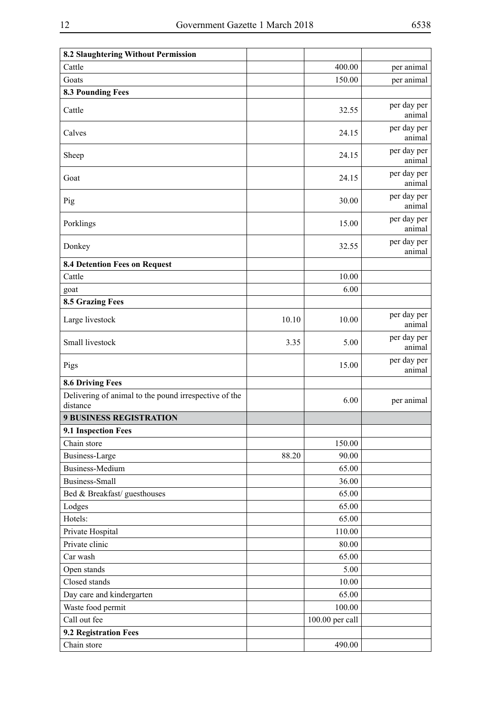| 8.2 Slaughtering Without Permission                               |       |                 |                       |
|-------------------------------------------------------------------|-------|-----------------|-----------------------|
| Cattle                                                            |       | 400.00          | per animal            |
| Goats                                                             |       | 150.00          | per animal            |
| <b>8.3 Pounding Fees</b>                                          |       |                 |                       |
| Cattle                                                            |       | 32.55           | per day per<br>animal |
| Calves                                                            |       | 24.15           | per day per<br>animal |
| Sheep                                                             |       | 24.15           | per day per<br>animal |
| Goat                                                              |       | 24.15           | per day per<br>animal |
| Pig                                                               |       | 30.00           | per day per<br>animal |
| Porklings                                                         |       | 15.00           | per day per<br>animal |
| Donkey                                                            |       | 32.55           | per day per<br>animal |
| <b>8.4 Detention Fees on Request</b>                              |       |                 |                       |
| Cattle                                                            |       | 10.00           |                       |
| goat                                                              |       | 6.00            |                       |
| <b>8.5 Grazing Fees</b>                                           |       |                 |                       |
| Large livestock                                                   | 10.10 | 10.00           | per day per<br>animal |
| Small livestock                                                   | 3.35  | 5.00            | per day per<br>animal |
| Pigs                                                              |       | 15.00           | per day per<br>animal |
| <b>8.6 Driving Fees</b>                                           |       |                 |                       |
| Delivering of animal to the pound irrespective of the<br>distance |       | 6.00            | per animal            |
| <b>9 BUSINESS REGISTRATION</b>                                    |       |                 |                       |
| 9.1 Inspection Fees                                               |       |                 |                       |
| Chain store                                                       |       | 150.00          |                       |
| <b>Business-Large</b>                                             | 88.20 | 90.00           |                       |
| <b>Business-Medium</b>                                            |       | 65.00           |                       |
| <b>Business-Small</b>                                             |       | 36.00           |                       |
| Bed & Breakfast/ guesthouses                                      |       | 65.00           |                       |
| Lodges                                                            |       | 65.00           |                       |
| Hotels:                                                           |       | 65.00           |                       |
| Private Hospital                                                  |       | 110.00          |                       |
| Private clinic                                                    |       | 80.00           |                       |
| Car wash                                                          |       | 65.00           |                       |
| Open stands                                                       |       | 5.00            |                       |
| Closed stands                                                     |       | 10.00           |                       |
| Day care and kindergarten                                         |       | 65.00           |                       |
| Waste food permit                                                 |       | 100.00          |                       |
| Call out fee                                                      |       | 100.00 per call |                       |
| 9.2 Registration Fees                                             |       |                 |                       |
| Chain store                                                       |       | 490.00          |                       |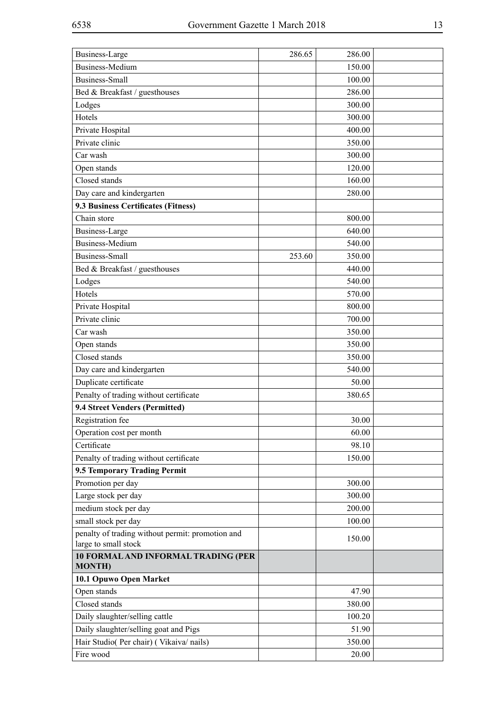| Business-Large                                   | 286.65 | 286.00 |  |
|--------------------------------------------------|--------|--------|--|
| <b>Business-Medium</b>                           |        | 150.00 |  |
| <b>Business-Small</b>                            |        | 100.00 |  |
| Bed & Breakfast / guesthouses                    |        | 286.00 |  |
| Lodges                                           |        | 300.00 |  |
| Hotels                                           |        | 300.00 |  |
| Private Hospital                                 |        | 400.00 |  |
| Private clinic                                   |        | 350.00 |  |
| Car wash                                         |        | 300.00 |  |
| Open stands                                      |        | 120.00 |  |
| Closed stands                                    |        | 160.00 |  |
| Day care and kindergarten                        |        | 280.00 |  |
| 9.3 Business Certificates (Fitness)              |        |        |  |
| Chain store                                      |        | 800.00 |  |
| <b>Business-Large</b>                            |        | 640.00 |  |
| <b>Business-Medium</b>                           |        | 540.00 |  |
| <b>Business-Small</b>                            | 253.60 | 350.00 |  |
| Bed & Breakfast / guesthouses                    |        | 440.00 |  |
| Lodges                                           |        | 540.00 |  |
| Hotels                                           |        | 570.00 |  |
| Private Hospital                                 |        | 800.00 |  |
| Private clinic                                   |        | 700.00 |  |
| Car wash                                         |        | 350.00 |  |
| Open stands                                      |        | 350.00 |  |
| Closed stands                                    |        | 350.00 |  |
| Day care and kindergarten                        |        | 540.00 |  |
| Duplicate certificate                            |        | 50.00  |  |
| Penalty of trading without certificate           |        | 380.65 |  |
| 9.4 Street Venders (Permitted)                   |        |        |  |
| Registration fee                                 |        | 30.00  |  |
| Operation cost per month                         |        | 60.00  |  |
| Certificate                                      |        | 98.10  |  |
| Penalty of trading without certificate           |        | 150.00 |  |
| 9.5 Temporary Trading Permit                     |        |        |  |
| Promotion per day                                |        | 300.00 |  |
| Large stock per day                              |        | 300.00 |  |
| medium stock per day                             |        | 200.00 |  |
| small stock per day                              |        | 100.00 |  |
| penalty of trading without permit: promotion and |        |        |  |
| large to small stock                             |        | 150.00 |  |
| <b>10 FORMAL AND INFORMAL TRADING (PER</b>       |        |        |  |
| <b>MONTH)</b>                                    |        |        |  |
| 10.1 Opuwo Open Market                           |        |        |  |
| Open stands                                      |        | 47.90  |  |
| Closed stands                                    |        | 380.00 |  |
| Daily slaughter/selling cattle                   |        | 100.20 |  |
| Daily slaughter/selling goat and Pigs            |        | 51.90  |  |
| Hair Studio( Per chair) ( Vikaiva/ nails)        |        | 350.00 |  |
| Fire wood                                        |        | 20.00  |  |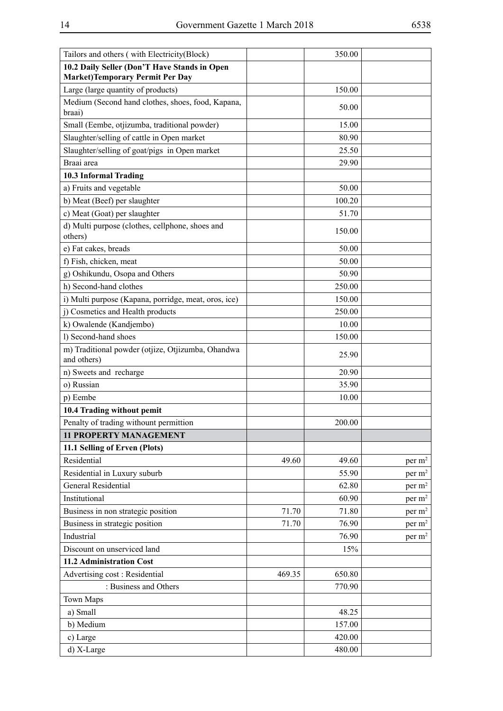| Tailors and others (with Electricity(Block)                                            |        | 350.00 |                    |
|----------------------------------------------------------------------------------------|--------|--------|--------------------|
| 10.2 Daily Seller (Don'T Have Stands in Open<br><b>Market)Temporary Permit Per Day</b> |        |        |                    |
| Large (large quantity of products)                                                     |        | 150.00 |                    |
| Medium (Second hand clothes, shoes, food, Kapana,<br>braai)                            |        | 50.00  |                    |
| Small (Eembe, otjizumba, traditional powder)                                           |        | 15.00  |                    |
| Slaughter/selling of cattle in Open market                                             |        | 80.90  |                    |
| Slaughter/selling of goat/pigs in Open market                                          |        | 25.50  |                    |
| Braai area                                                                             |        | 29.90  |                    |
| 10.3 Informal Trading                                                                  |        |        |                    |
| a) Fruits and vegetable                                                                |        | 50.00  |                    |
| b) Meat (Beef) per slaughter                                                           |        | 100.20 |                    |
| c) Meat (Goat) per slaughter                                                           |        | 51.70  |                    |
| d) Multi purpose (clothes, cellphone, shoes and<br>others)                             |        | 150.00 |                    |
| e) Fat cakes, breads                                                                   |        | 50.00  |                    |
| f) Fish, chicken, meat                                                                 |        | 50.00  |                    |
| g) Oshikundu, Osopa and Others                                                         |        | 50.90  |                    |
| h) Second-hand clothes                                                                 |        | 250.00 |                    |
| i) Multi purpose (Kapana, porridge, meat, oros, ice)                                   |        | 150.00 |                    |
| j) Cosmetics and Health products                                                       |        | 250.00 |                    |
| k) Owalende (Kandjembo)                                                                |        | 10.00  |                    |
| l) Second-hand shoes                                                                   |        | 150.00 |                    |
| m) Traditional powder (otjize, Otjizumba, Ohandwa                                      |        | 25.90  |                    |
| and others)                                                                            |        |        |                    |
| n) Sweets and recharge                                                                 |        | 20.90  |                    |
| o) Russian                                                                             |        | 35.90  |                    |
| p) Eembe                                                                               |        | 10.00  |                    |
| 10.4 Trading without pemit                                                             |        |        |                    |
| Penalty of trading withount permittion                                                 |        | 200.00 |                    |
| <b>11 PROPERTY MANAGEMENT</b>                                                          |        |        |                    |
| 11.1 Selling of Erven (Plots)                                                          |        |        |                    |
| Residential                                                                            | 49.60  | 49.60  | per m <sup>2</sup> |
| Residential in Luxury suburb                                                           |        | 55.90  | per $m2$           |
| <b>General Residential</b>                                                             |        | 62.80  | per $m2$           |
| Institutional                                                                          |        | 60.90  | per m <sup>2</sup> |
| Business in non strategic position                                                     | 71.70  | 71.80  | per m <sup>2</sup> |
| Business in strategic position                                                         | 71.70  | 76.90  | per m <sup>2</sup> |
| Industrial                                                                             |        | 76.90  | per m <sup>2</sup> |
| Discount on unserviced land                                                            |        | 15%    |                    |
| 11.2 Administration Cost                                                               |        |        |                    |
| Advertising cost: Residential                                                          | 469.35 | 650.80 |                    |
| : Business and Others                                                                  |        | 770.90 |                    |
| <b>Town Maps</b>                                                                       |        |        |                    |
| a) Small                                                                               |        | 48.25  |                    |
| b) Medium                                                                              |        | 157.00 |                    |
| c) Large                                                                               |        | 420.00 |                    |
| d) X-Large                                                                             |        | 480.00 |                    |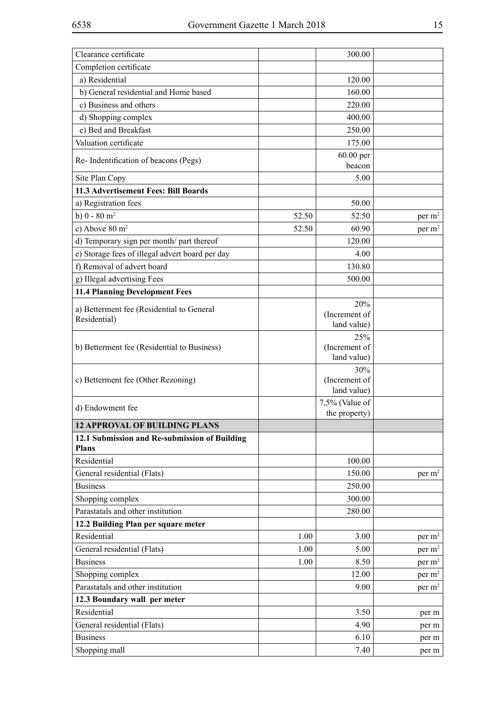| Clearance certificate                                         |       | 300.00                              |                    |
|---------------------------------------------------------------|-------|-------------------------------------|--------------------|
| Completion certificate                                        |       |                                     |                    |
| a) Residential                                                |       | 120.00                              |                    |
| b) General residential and Home based                         |       | 160.00                              |                    |
| c) Business and others                                        |       | 220.00                              |                    |
| d) Shopping complex                                           |       | 400.00                              |                    |
| e) Bed and Breakfast                                          |       | 250.00                              |                    |
| Valuation certificate                                         |       | 175.00                              |                    |
| Re-Indentification of beacons (Pegs)                          |       | 60.00 per<br>beacon                 |                    |
| Site Plan Copy                                                |       | 5.00                                |                    |
| 11.3 Advertisement Fees: Bill Boards                          |       |                                     |                    |
| a) Registration fees                                          |       | 50.00                               |                    |
| b) $0 - 80$ m <sup>2</sup>                                    | 52.50 | 52.50                               | per $m2$           |
| c) Above $80 \text{ m}^2$                                     | 52.50 | 60.90                               | per $m2$           |
| d) Temporary sign per month/ part thereof                     |       | 120.00                              |                    |
| e) Storage fees of illegal advert board per day               |       | 4.00                                |                    |
| f) Removal of advert board                                    |       | 130.80                              |                    |
| g) Illegal advertising Fees                                   |       | 500.00                              |                    |
| <b>11.4 Planning Development Fees</b>                         |       |                                     |                    |
|                                                               |       | 20%                                 |                    |
| a) Betterment fee (Residential to General                     |       | (Increment of                       |                    |
| Residential)                                                  |       | land value)                         |                    |
| b) Betterment fee (Residential to Business)                   |       | 25%<br>(Increment of<br>land value) |                    |
| c) Betterment fee (Other Rezoning)                            |       | 30%<br>(Increment of<br>land value) |                    |
| d) Endowment fee                                              |       | 7,5% (Value of<br>the property)     |                    |
| <b>12 APPROVAL OF BUILDING PLANS</b>                          |       |                                     |                    |
| 12.1 Submission and Re-submission of Building<br><b>Plans</b> |       |                                     |                    |
| Residential                                                   |       | 100.00                              |                    |
| General residential (Flats)                                   |       | 150.00                              | per m <sup>2</sup> |
| <b>Business</b>                                               |       | 250.00                              |                    |
| Shopping complex                                              |       | 300.00                              |                    |
| Parastatals and other institution                             |       | 280.00                              |                    |
| 12.2 Building Plan per square meter                           |       |                                     |                    |
| Residential                                                   | 1.00  | 3.00                                | per m <sup>2</sup> |
| General residential (Flats)                                   | 1.00  | 5.00                                | per m <sup>2</sup> |
| <b>Business</b>                                               | 1.00  | 8.50                                | per m <sup>2</sup> |
| Shopping complex                                              |       | 12.00                               | per m <sup>2</sup> |
| Parastatals and other institution                             |       | 9.00                                | per m <sup>2</sup> |
| 12.3 Boundary wall per meter                                  |       |                                     |                    |
| Residential                                                   |       | 3.50                                | per m              |
| General residential (Flats)                                   |       | 4.90                                | per m              |
| <b>Business</b>                                               |       | 6.10                                | per m              |
| Shopping mall                                                 |       | 7.40                                | per m              |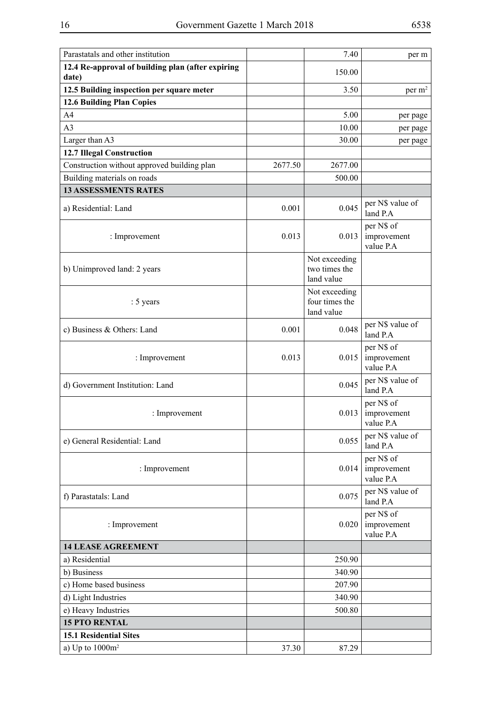| Parastatals and other institution                          |         | 7.40                                          | per m                                  |
|------------------------------------------------------------|---------|-----------------------------------------------|----------------------------------------|
| 12.4 Re-approval of building plan (after expiring<br>date) |         | 150.00                                        |                                        |
| 12.5 Building inspection per square meter                  |         | 3.50                                          | per m <sup>2</sup>                     |
| 12.6 Building Plan Copies                                  |         |                                               |                                        |
| A4                                                         |         | 5.00                                          | per page                               |
| A <sub>3</sub>                                             |         | 10.00                                         | per page                               |
| Larger than A3                                             |         | 30.00                                         | per page                               |
| <b>12.7 Illegal Construction</b>                           |         |                                               |                                        |
| Construction without approved building plan                | 2677.50 | 2677.00                                       |                                        |
| Building materials on roads                                |         | 500.00                                        |                                        |
| <b>13 ASSESSMENTS RATES</b>                                |         |                                               |                                        |
| a) Residential: Land                                       | 0.001   | 0.045                                         | per N\$ value of<br>land P.A           |
| : Improvement                                              | 0.013   | 0.013                                         | per N\$ of<br>improvement<br>value P.A |
| b) Unimproved land: 2 years                                |         | Not exceeding<br>two times the<br>land value  |                                        |
| : 5 years                                                  |         | Not exceeding<br>four times the<br>land value |                                        |
| c) Business & Others: Land                                 | 0.001   | 0.048                                         | per N\$ value of<br>land P.A           |
| : Improvement                                              | 0.013   | 0.015                                         | per N\$ of<br>improvement<br>value P.A |
| d) Government Institution: Land                            |         | 0.045                                         | per N\$ value of<br>land P.A           |
| : Improvement                                              |         | 0.013                                         | per N\$ of<br>improvement<br>value P.A |
| e) General Residential: Land                               |         | 0.055                                         | per N\$ value of<br>land P.A           |
| : Improvement                                              |         | 0.014                                         | per N\$ of<br>improvement<br>value P.A |
| f) Parastatals: Land                                       |         | 0.075                                         | per N\$ value of<br>land P.A           |
| : Improvement                                              |         | 0.020                                         | per N\$ of<br>improvement<br>value P.A |
| <b>14 LEASE AGREEMENT</b>                                  |         |                                               |                                        |
| a) Residential                                             |         | 250.90                                        |                                        |
| b) Business                                                |         | 340.90                                        |                                        |
| c) Home based business                                     |         | 207.90                                        |                                        |
| d) Light Industries                                        |         | 340.90                                        |                                        |
| e) Heavy Industries                                        |         | 500.80                                        |                                        |
| <b>15 PTO RENTAL</b>                                       |         |                                               |                                        |
| <b>15.1 Residential Sites</b>                              |         |                                               |                                        |
| a) Up to $1000m^2$                                         | 37.30   | 87.29                                         |                                        |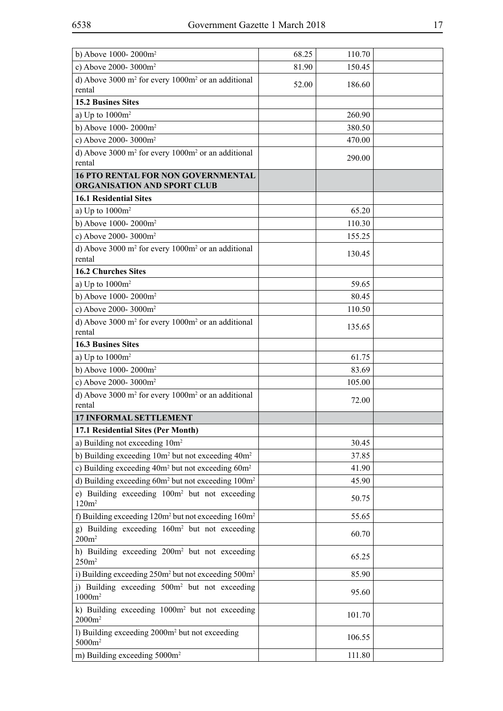| c) Above 2000-3000m <sup>2</sup><br>81.90<br>150.45<br>d) Above 3000 m <sup>2</sup> for every 1000m <sup>2</sup> or an additional<br>186.60<br>52.00<br>rental<br><b>15.2 Busines Sites</b><br>a) Up to $1000m^2$<br>260.90<br>b) Above 1000-2000 $m2$<br>380.50<br>c) Above 2000-3000m <sup>2</sup><br>470.00<br>d) Above 3000 $m^2$ for every 1000 $m^2$ or an additional<br>290.00<br>rental<br><b>16 PTO RENTAL FOR NON GOVERNMENTAL</b><br><b>ORGANISATION AND SPORT CLUB</b><br><b>16.1 Residential Sites</b><br>a) Up to $1000m^2$<br>65.20<br>b) Above 1000-2000m <sup>2</sup><br>110.30<br>c) Above 2000-3000m <sup>2</sup><br>155.25<br>d) Above 3000 $m^2$ for every 1000 $m^2$ or an additional<br>130.45<br>rental<br><b>16.2 Churches Sites</b><br>a) Up to $1000m^2$<br>59.65<br>b) Above 1000-2000m <sup>2</sup><br>80.45<br>c) Above 2000-3000m <sup>2</sup><br>110.50<br>d) Above 3000 $m^2$ for every 1000 $m^2$ or an additional<br>135.65<br>rental<br><b>16.3 Busines Sites</b><br>a) Up to $1000m^2$<br>61.75<br>b) Above 1000-2000m <sup>2</sup><br>83.69<br>c) Above 2000-3000m <sup>2</sup><br>105.00<br>d) Above 3000 $m^2$ for every 1000 $m^2$ or an additional<br>72.00<br>rental<br><b>17 INFORMAL SETTLEMENT</b><br>17.1 Residential Sites (Per Month)<br>a) Building not exceeding 10m <sup>2</sup><br>30.45<br>b) Building exceeding 10m <sup>2</sup> but not exceeding 40m <sup>2</sup><br>37.85<br>c) Building exceeding $40m^2$ but not exceeding $60m^2$<br>41.90<br>d) Building exceeding 60m <sup>2</sup> but not exceeding 100m <sup>2</sup><br>45.90<br>e) Building exceeding 100m <sup>2</sup> but not exceeding<br>50.75<br>120m <sup>2</sup><br>f) Building exceeding $120m^2$ but not exceeding $160m^2$<br>55.65<br>g) Building exceeding 160m <sup>2</sup> but not exceeding<br>60.70<br>200m <sup>2</sup><br>h) Building exceeding 200m <sup>2</sup> but not exceeding<br>65.25<br>250m <sup>2</sup><br>i) Building exceeding 250m <sup>2</sup> but not exceeding 500m <sup>2</sup><br>85.90<br>j) Building exceeding 500m <sup>2</sup> but not exceeding<br>95.60<br>$1000m^2$<br>k) Building exceeding 1000m <sup>2</sup> but not exceeding<br>101.70<br>$2000m^2$<br>1) Building exceeding 2000m <sup>2</sup> but not exceeding<br>106.55<br>$5000m^2$<br>m) Building exceeding 5000m <sup>2</sup><br>111.80 | b) Above 1000-2000m <sup>2</sup> | 68.25 | 110.70 |  |
|------------------------------------------------------------------------------------------------------------------------------------------------------------------------------------------------------------------------------------------------------------------------------------------------------------------------------------------------------------------------------------------------------------------------------------------------------------------------------------------------------------------------------------------------------------------------------------------------------------------------------------------------------------------------------------------------------------------------------------------------------------------------------------------------------------------------------------------------------------------------------------------------------------------------------------------------------------------------------------------------------------------------------------------------------------------------------------------------------------------------------------------------------------------------------------------------------------------------------------------------------------------------------------------------------------------------------------------------------------------------------------------------------------------------------------------------------------------------------------------------------------------------------------------------------------------------------------------------------------------------------------------------------------------------------------------------------------------------------------------------------------------------------------------------------------------------------------------------------------------------------------------------------------------------------------------------------------------------------------------------------------------------------------------------------------------------------------------------------------------------------------------------------------------------------------------------------------------------------------------------------------------------------------------------------------------------------------------------------------------|----------------------------------|-------|--------|--|
|                                                                                                                                                                                                                                                                                                                                                                                                                                                                                                                                                                                                                                                                                                                                                                                                                                                                                                                                                                                                                                                                                                                                                                                                                                                                                                                                                                                                                                                                                                                                                                                                                                                                                                                                                                                                                                                                                                                                                                                                                                                                                                                                                                                                                                                                                                                                                                  |                                  |       |        |  |
|                                                                                                                                                                                                                                                                                                                                                                                                                                                                                                                                                                                                                                                                                                                                                                                                                                                                                                                                                                                                                                                                                                                                                                                                                                                                                                                                                                                                                                                                                                                                                                                                                                                                                                                                                                                                                                                                                                                                                                                                                                                                                                                                                                                                                                                                                                                                                                  |                                  |       |        |  |
|                                                                                                                                                                                                                                                                                                                                                                                                                                                                                                                                                                                                                                                                                                                                                                                                                                                                                                                                                                                                                                                                                                                                                                                                                                                                                                                                                                                                                                                                                                                                                                                                                                                                                                                                                                                                                                                                                                                                                                                                                                                                                                                                                                                                                                                                                                                                                                  |                                  |       |        |  |
|                                                                                                                                                                                                                                                                                                                                                                                                                                                                                                                                                                                                                                                                                                                                                                                                                                                                                                                                                                                                                                                                                                                                                                                                                                                                                                                                                                                                                                                                                                                                                                                                                                                                                                                                                                                                                                                                                                                                                                                                                                                                                                                                                                                                                                                                                                                                                                  |                                  |       |        |  |
|                                                                                                                                                                                                                                                                                                                                                                                                                                                                                                                                                                                                                                                                                                                                                                                                                                                                                                                                                                                                                                                                                                                                                                                                                                                                                                                                                                                                                                                                                                                                                                                                                                                                                                                                                                                                                                                                                                                                                                                                                                                                                                                                                                                                                                                                                                                                                                  |                                  |       |        |  |
|                                                                                                                                                                                                                                                                                                                                                                                                                                                                                                                                                                                                                                                                                                                                                                                                                                                                                                                                                                                                                                                                                                                                                                                                                                                                                                                                                                                                                                                                                                                                                                                                                                                                                                                                                                                                                                                                                                                                                                                                                                                                                                                                                                                                                                                                                                                                                                  |                                  |       |        |  |
|                                                                                                                                                                                                                                                                                                                                                                                                                                                                                                                                                                                                                                                                                                                                                                                                                                                                                                                                                                                                                                                                                                                                                                                                                                                                                                                                                                                                                                                                                                                                                                                                                                                                                                                                                                                                                                                                                                                                                                                                                                                                                                                                                                                                                                                                                                                                                                  |                                  |       |        |  |
|                                                                                                                                                                                                                                                                                                                                                                                                                                                                                                                                                                                                                                                                                                                                                                                                                                                                                                                                                                                                                                                                                                                                                                                                                                                                                                                                                                                                                                                                                                                                                                                                                                                                                                                                                                                                                                                                                                                                                                                                                                                                                                                                                                                                                                                                                                                                                                  |                                  |       |        |  |
|                                                                                                                                                                                                                                                                                                                                                                                                                                                                                                                                                                                                                                                                                                                                                                                                                                                                                                                                                                                                                                                                                                                                                                                                                                                                                                                                                                                                                                                                                                                                                                                                                                                                                                                                                                                                                                                                                                                                                                                                                                                                                                                                                                                                                                                                                                                                                                  |                                  |       |        |  |
|                                                                                                                                                                                                                                                                                                                                                                                                                                                                                                                                                                                                                                                                                                                                                                                                                                                                                                                                                                                                                                                                                                                                                                                                                                                                                                                                                                                                                                                                                                                                                                                                                                                                                                                                                                                                                                                                                                                                                                                                                                                                                                                                                                                                                                                                                                                                                                  |                                  |       |        |  |
|                                                                                                                                                                                                                                                                                                                                                                                                                                                                                                                                                                                                                                                                                                                                                                                                                                                                                                                                                                                                                                                                                                                                                                                                                                                                                                                                                                                                                                                                                                                                                                                                                                                                                                                                                                                                                                                                                                                                                                                                                                                                                                                                                                                                                                                                                                                                                                  |                                  |       |        |  |
|                                                                                                                                                                                                                                                                                                                                                                                                                                                                                                                                                                                                                                                                                                                                                                                                                                                                                                                                                                                                                                                                                                                                                                                                                                                                                                                                                                                                                                                                                                                                                                                                                                                                                                                                                                                                                                                                                                                                                                                                                                                                                                                                                                                                                                                                                                                                                                  |                                  |       |        |  |
|                                                                                                                                                                                                                                                                                                                                                                                                                                                                                                                                                                                                                                                                                                                                                                                                                                                                                                                                                                                                                                                                                                                                                                                                                                                                                                                                                                                                                                                                                                                                                                                                                                                                                                                                                                                                                                                                                                                                                                                                                                                                                                                                                                                                                                                                                                                                                                  |                                  |       |        |  |
|                                                                                                                                                                                                                                                                                                                                                                                                                                                                                                                                                                                                                                                                                                                                                                                                                                                                                                                                                                                                                                                                                                                                                                                                                                                                                                                                                                                                                                                                                                                                                                                                                                                                                                                                                                                                                                                                                                                                                                                                                                                                                                                                                                                                                                                                                                                                                                  |                                  |       |        |  |
|                                                                                                                                                                                                                                                                                                                                                                                                                                                                                                                                                                                                                                                                                                                                                                                                                                                                                                                                                                                                                                                                                                                                                                                                                                                                                                                                                                                                                                                                                                                                                                                                                                                                                                                                                                                                                                                                                                                                                                                                                                                                                                                                                                                                                                                                                                                                                                  |                                  |       |        |  |
|                                                                                                                                                                                                                                                                                                                                                                                                                                                                                                                                                                                                                                                                                                                                                                                                                                                                                                                                                                                                                                                                                                                                                                                                                                                                                                                                                                                                                                                                                                                                                                                                                                                                                                                                                                                                                                                                                                                                                                                                                                                                                                                                                                                                                                                                                                                                                                  |                                  |       |        |  |
|                                                                                                                                                                                                                                                                                                                                                                                                                                                                                                                                                                                                                                                                                                                                                                                                                                                                                                                                                                                                                                                                                                                                                                                                                                                                                                                                                                                                                                                                                                                                                                                                                                                                                                                                                                                                                                                                                                                                                                                                                                                                                                                                                                                                                                                                                                                                                                  |                                  |       |        |  |
|                                                                                                                                                                                                                                                                                                                                                                                                                                                                                                                                                                                                                                                                                                                                                                                                                                                                                                                                                                                                                                                                                                                                                                                                                                                                                                                                                                                                                                                                                                                                                                                                                                                                                                                                                                                                                                                                                                                                                                                                                                                                                                                                                                                                                                                                                                                                                                  |                                  |       |        |  |
|                                                                                                                                                                                                                                                                                                                                                                                                                                                                                                                                                                                                                                                                                                                                                                                                                                                                                                                                                                                                                                                                                                                                                                                                                                                                                                                                                                                                                                                                                                                                                                                                                                                                                                                                                                                                                                                                                                                                                                                                                                                                                                                                                                                                                                                                                                                                                                  |                                  |       |        |  |
|                                                                                                                                                                                                                                                                                                                                                                                                                                                                                                                                                                                                                                                                                                                                                                                                                                                                                                                                                                                                                                                                                                                                                                                                                                                                                                                                                                                                                                                                                                                                                                                                                                                                                                                                                                                                                                                                                                                                                                                                                                                                                                                                                                                                                                                                                                                                                                  |                                  |       |        |  |
|                                                                                                                                                                                                                                                                                                                                                                                                                                                                                                                                                                                                                                                                                                                                                                                                                                                                                                                                                                                                                                                                                                                                                                                                                                                                                                                                                                                                                                                                                                                                                                                                                                                                                                                                                                                                                                                                                                                                                                                                                                                                                                                                                                                                                                                                                                                                                                  |                                  |       |        |  |
|                                                                                                                                                                                                                                                                                                                                                                                                                                                                                                                                                                                                                                                                                                                                                                                                                                                                                                                                                                                                                                                                                                                                                                                                                                                                                                                                                                                                                                                                                                                                                                                                                                                                                                                                                                                                                                                                                                                                                                                                                                                                                                                                                                                                                                                                                                                                                                  |                                  |       |        |  |
|                                                                                                                                                                                                                                                                                                                                                                                                                                                                                                                                                                                                                                                                                                                                                                                                                                                                                                                                                                                                                                                                                                                                                                                                                                                                                                                                                                                                                                                                                                                                                                                                                                                                                                                                                                                                                                                                                                                                                                                                                                                                                                                                                                                                                                                                                                                                                                  |                                  |       |        |  |
|                                                                                                                                                                                                                                                                                                                                                                                                                                                                                                                                                                                                                                                                                                                                                                                                                                                                                                                                                                                                                                                                                                                                                                                                                                                                                                                                                                                                                                                                                                                                                                                                                                                                                                                                                                                                                                                                                                                                                                                                                                                                                                                                                                                                                                                                                                                                                                  |                                  |       |        |  |
|                                                                                                                                                                                                                                                                                                                                                                                                                                                                                                                                                                                                                                                                                                                                                                                                                                                                                                                                                                                                                                                                                                                                                                                                                                                                                                                                                                                                                                                                                                                                                                                                                                                                                                                                                                                                                                                                                                                                                                                                                                                                                                                                                                                                                                                                                                                                                                  |                                  |       |        |  |
|                                                                                                                                                                                                                                                                                                                                                                                                                                                                                                                                                                                                                                                                                                                                                                                                                                                                                                                                                                                                                                                                                                                                                                                                                                                                                                                                                                                                                                                                                                                                                                                                                                                                                                                                                                                                                                                                                                                                                                                                                                                                                                                                                                                                                                                                                                                                                                  |                                  |       |        |  |
|                                                                                                                                                                                                                                                                                                                                                                                                                                                                                                                                                                                                                                                                                                                                                                                                                                                                                                                                                                                                                                                                                                                                                                                                                                                                                                                                                                                                                                                                                                                                                                                                                                                                                                                                                                                                                                                                                                                                                                                                                                                                                                                                                                                                                                                                                                                                                                  |                                  |       |        |  |
|                                                                                                                                                                                                                                                                                                                                                                                                                                                                                                                                                                                                                                                                                                                                                                                                                                                                                                                                                                                                                                                                                                                                                                                                                                                                                                                                                                                                                                                                                                                                                                                                                                                                                                                                                                                                                                                                                                                                                                                                                                                                                                                                                                                                                                                                                                                                                                  |                                  |       |        |  |
|                                                                                                                                                                                                                                                                                                                                                                                                                                                                                                                                                                                                                                                                                                                                                                                                                                                                                                                                                                                                                                                                                                                                                                                                                                                                                                                                                                                                                                                                                                                                                                                                                                                                                                                                                                                                                                                                                                                                                                                                                                                                                                                                                                                                                                                                                                                                                                  |                                  |       |        |  |
|                                                                                                                                                                                                                                                                                                                                                                                                                                                                                                                                                                                                                                                                                                                                                                                                                                                                                                                                                                                                                                                                                                                                                                                                                                                                                                                                                                                                                                                                                                                                                                                                                                                                                                                                                                                                                                                                                                                                                                                                                                                                                                                                                                                                                                                                                                                                                                  |                                  |       |        |  |
|                                                                                                                                                                                                                                                                                                                                                                                                                                                                                                                                                                                                                                                                                                                                                                                                                                                                                                                                                                                                                                                                                                                                                                                                                                                                                                                                                                                                                                                                                                                                                                                                                                                                                                                                                                                                                                                                                                                                                                                                                                                                                                                                                                                                                                                                                                                                                                  |                                  |       |        |  |
|                                                                                                                                                                                                                                                                                                                                                                                                                                                                                                                                                                                                                                                                                                                                                                                                                                                                                                                                                                                                                                                                                                                                                                                                                                                                                                                                                                                                                                                                                                                                                                                                                                                                                                                                                                                                                                                                                                                                                                                                                                                                                                                                                                                                                                                                                                                                                                  |                                  |       |        |  |
|                                                                                                                                                                                                                                                                                                                                                                                                                                                                                                                                                                                                                                                                                                                                                                                                                                                                                                                                                                                                                                                                                                                                                                                                                                                                                                                                                                                                                                                                                                                                                                                                                                                                                                                                                                                                                                                                                                                                                                                                                                                                                                                                                                                                                                                                                                                                                                  |                                  |       |        |  |
|                                                                                                                                                                                                                                                                                                                                                                                                                                                                                                                                                                                                                                                                                                                                                                                                                                                                                                                                                                                                                                                                                                                                                                                                                                                                                                                                                                                                                                                                                                                                                                                                                                                                                                                                                                                                                                                                                                                                                                                                                                                                                                                                                                                                                                                                                                                                                                  |                                  |       |        |  |
|                                                                                                                                                                                                                                                                                                                                                                                                                                                                                                                                                                                                                                                                                                                                                                                                                                                                                                                                                                                                                                                                                                                                                                                                                                                                                                                                                                                                                                                                                                                                                                                                                                                                                                                                                                                                                                                                                                                                                                                                                                                                                                                                                                                                                                                                                                                                                                  |                                  |       |        |  |
|                                                                                                                                                                                                                                                                                                                                                                                                                                                                                                                                                                                                                                                                                                                                                                                                                                                                                                                                                                                                                                                                                                                                                                                                                                                                                                                                                                                                                                                                                                                                                                                                                                                                                                                                                                                                                                                                                                                                                                                                                                                                                                                                                                                                                                                                                                                                                                  |                                  |       |        |  |
|                                                                                                                                                                                                                                                                                                                                                                                                                                                                                                                                                                                                                                                                                                                                                                                                                                                                                                                                                                                                                                                                                                                                                                                                                                                                                                                                                                                                                                                                                                                                                                                                                                                                                                                                                                                                                                                                                                                                                                                                                                                                                                                                                                                                                                                                                                                                                                  |                                  |       |        |  |
|                                                                                                                                                                                                                                                                                                                                                                                                                                                                                                                                                                                                                                                                                                                                                                                                                                                                                                                                                                                                                                                                                                                                                                                                                                                                                                                                                                                                                                                                                                                                                                                                                                                                                                                                                                                                                                                                                                                                                                                                                                                                                                                                                                                                                                                                                                                                                                  |                                  |       |        |  |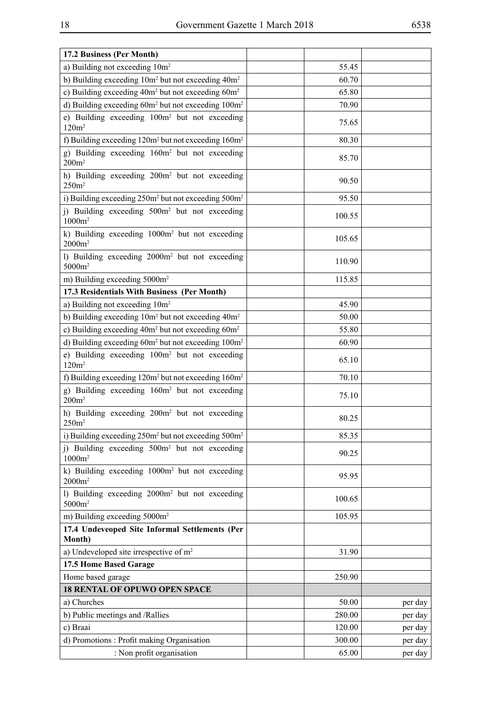| 17.2 Business (Per Month)                                                        |        |         |
|----------------------------------------------------------------------------------|--------|---------|
| a) Building not exceeding 10m <sup>2</sup>                                       | 55.45  |         |
| b) Building exceeding 10m <sup>2</sup> but not exceeding 40m <sup>2</sup>        | 60.70  |         |
| c) Building exceeding 40m <sup>2</sup> but not exceeding 60m <sup>2</sup>        | 65.80  |         |
| d) Building exceeding 60m <sup>2</sup> but not exceeding 100m <sup>2</sup>       | 70.90  |         |
| e) Building exceeding 100m <sup>2</sup> but not exceeding<br>120m <sup>2</sup>   | 75.65  |         |
| f) Building exceeding $120m^2$ but not exceeding $160m^2$                        | 80.30  |         |
| g) Building exceeding 160m <sup>2</sup> but not exceeding<br>200m <sup>2</sup>   | 85.70  |         |
| h) Building exceeding 200m <sup>2</sup> but not exceeding<br>250m <sup>2</sup>   | 90.50  |         |
| i) Building exceeding 250m <sup>2</sup> but not exceeding 500m <sup>2</sup>      | 95.50  |         |
| j) Building exceeding 500m <sup>2</sup> but not exceeding<br>$1000m^2$           | 100.55 |         |
| k) Building exceeding 1000m <sup>2</sup> but not exceeding<br>$2000m^2$          | 105.65 |         |
| 1) Building exceeding 2000m <sup>2</sup> but not exceeding<br>5000m <sup>2</sup> | 110.90 |         |
| m) Building exceeding 5000m <sup>2</sup>                                         | 115.85 |         |
| 17.3 Residentials With Business (Per Month)                                      |        |         |
| a) Building not exceeding 10m <sup>2</sup>                                       | 45.90  |         |
| b) Building exceeding $10m^2$ but not exceeding $40m^2$                          | 50.00  |         |
| c) Building exceeding 40m <sup>2</sup> but not exceeding 60m <sup>2</sup>        | 55.80  |         |
| d) Building exceeding 60m <sup>2</sup> but not exceeding 100m <sup>2</sup>       | 60.90  |         |
| e) Building exceeding 100m <sup>2</sup> but not exceeding<br>120m <sup>2</sup>   | 65.10  |         |
| f) Building exceeding 120m <sup>2</sup> but not exceeding 160m <sup>2</sup>      | 70.10  |         |
| g) Building exceeding 160m <sup>2</sup> but not exceeding<br>200m <sup>2</sup>   | 75.10  |         |
| h) Building exceeding 200m <sup>2</sup> but not exceeding<br>250m <sup>2</sup>   | 80.25  |         |
| i) Building exceeding 250m <sup>2</sup> but not exceeding 500m <sup>2</sup>      | 85.35  |         |
| i) Building exceeding 500m <sup>2</sup> but not exceeding<br>$1000m^2$           | 90.25  |         |
| k) Building exceeding 1000m <sup>2</sup> but not exceeding<br>$2000m^2$          | 95.95  |         |
| 1) Building exceeding 2000m <sup>2</sup> but not exceeding<br>5000m <sup>2</sup> | 100.65 |         |
| m) Building exceeding 5000m <sup>2</sup>                                         | 105.95 |         |
| 17.4 Undeveoped Site Informal Settlements (Per<br>Month)                         |        |         |
| a) Undeveloped site irrespective of $m2$                                         | 31.90  |         |
| 17.5 Home Based Garage                                                           |        |         |
| Home based garage                                                                | 250.90 |         |
| <b>18 RENTAL OF OPUWO OPEN SPACE</b>                                             |        |         |
| a) Churches                                                                      | 50.00  | per day |
| b) Public meetings and /Rallies                                                  | 280.00 | per day |
| c) Braai                                                                         | 120.00 | per day |
| d) Promotions: Profit making Organisation                                        | 300.00 | per day |
| : Non profit organisation                                                        | 65.00  | per day |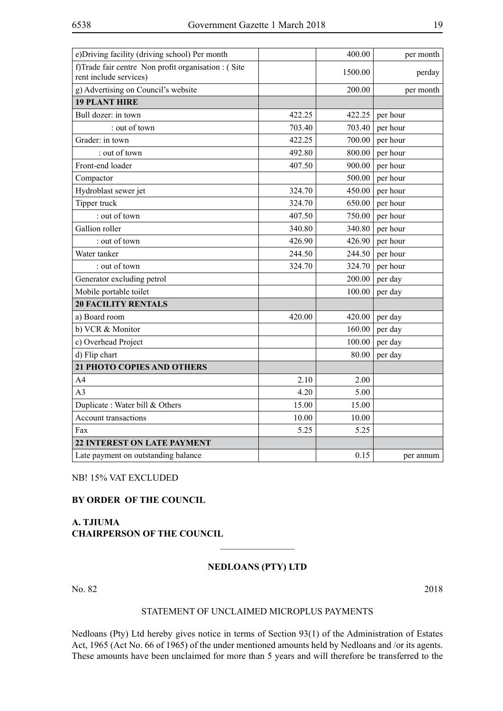| e) Driving facility (driving school) Per month                                |        | 400.00  | per month |
|-------------------------------------------------------------------------------|--------|---------|-----------|
| f)Trade fair centre Non profit organisation : (Site<br>rent include services) |        | 1500.00 | perday    |
| g) Advertising on Council's website                                           |        | 200.00  | per month |
| <b>19 PLANT HIRE</b>                                                          |        |         |           |
| Bull dozer: in town                                                           | 422.25 | 422.25  | per hour  |
| : out of town                                                                 | 703.40 | 703.40  | per hour  |
| Grader: in town                                                               | 422.25 | 700.00  | per hour  |
| : out of town                                                                 | 492.80 | 800.00  | per hour  |
| Front-end loader                                                              | 407.50 | 900.00  | per hour  |
| Compactor                                                                     |        | 500.00  | per hour  |
| Hydroblast sewer jet                                                          | 324.70 | 450.00  | per hour  |
| Tipper truck                                                                  | 324.70 | 650.00  | per hour  |
| : out of town                                                                 | 407.50 | 750.00  | per hour  |
| Gallion roller                                                                | 340.80 | 340.80  | per hour  |
| : out of town                                                                 | 426.90 | 426.90  | per hour  |
| Water tanker                                                                  | 244.50 | 244.50  | per hour  |
| : out of town                                                                 | 324.70 | 324.70  | per hour  |
| Generator excluding petrol                                                    |        | 200.00  | per day   |
| Mobile portable toilet                                                        |        | 100.00  | per day   |
| <b>20 FACILITY RENTALS</b>                                                    |        |         |           |
| a) Board room                                                                 | 420.00 | 420.00  | per day   |
| b) VCR & Monitor                                                              |        | 160.00  | per day   |
| c) Overhead Project                                                           |        | 100.00  | per day   |
| d) Flip chart                                                                 |        | 80.00   | per day   |
| 21 PHOTO COPIES AND OTHERS                                                    |        |         |           |
| A4                                                                            | 2.10   | 2.00    |           |
| A <sub>3</sub>                                                                | 4.20   | 5.00    |           |
| Duplicate: Water bill & Others                                                | 15.00  | 15.00   |           |
| <b>Account transactions</b>                                                   | 10.00  | 10.00   |           |
| Fax                                                                           | 5.25   | 5.25    |           |
| <b>22 INTEREST ON LATE PAYMENT</b>                                            |        |         |           |
| Late payment on outstanding balance                                           |        | 0.15    | per annum |

NB! 15% VAT EXCLUDED

#### **BY ORDER OF THE COUNCIL**

#### **A. TJIUMA CHAIRPERSON OF THE COUNCIL**

#### **NEDLOANS (PTY) LTD**

 $\frac{1}{2}$ 

No. 82 2018

#### STATEMENT OF UNCLAIMED MICROPLUS PAYMENTS

Nedloans (Pty) Ltd hereby gives notice in terms of Section 93(1) of the Administration of Estates Act, 1965 (Act No. 66 of 1965) of the under mentioned amounts held by Nedloans and /or its agents. These amounts have been unclaimed for more than 5 years and will therefore be transferred to the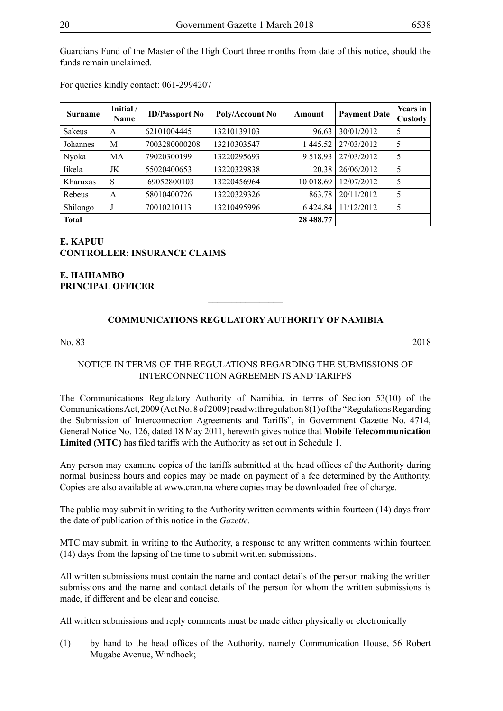Guardians Fund of the Master of the High Court three months from date of this notice, should the funds remain unclaimed.

For queries kindly contact: 061-2994207

| <b>Surname</b> | Initial /<br>Name | <b>ID/Passport No</b> | Poly/Account No | Amount        | <b>Payment Date</b> | <b>Years in</b><br>Custody |
|----------------|-------------------|-----------------------|-----------------|---------------|---------------------|----------------------------|
| Sakeus         | A                 | 62101004445           | 13210139103     | 96.63         | 30/01/2012          | 5                          |
| Johannes       | M                 | 7003280000208         | 13210303547     | 1445.52       | 27/03/2012          | 5                          |
| Nyoka          | MA                | 79020300199           | 13220295693     | 9 5 1 8 9 3   | 27/03/2012          | 5                          |
| <b>Iikela</b>  | JK                | 55020400653           | 13220329838     | 120.38        | 26/06/2012          | 5                          |
| Kharuxas       | S                 | 69052800103           | 13220456964     | 10 018.69     | 12/07/2012          | 5                          |
| Rebeus         | A                 | 58010400726           | 13220329326     | 863.78        | 20/11/2012          | 5                          |
| Shilongo       | J                 | 70010210113           | 13210495996     | 6 4 2 4 . 8 4 | 11/12/2012          | 5                          |
| <b>Total</b>   |                   |                       |                 | 28 488.77     |                     |                            |

#### **E. KAPUU CONTROLLER: INSURANCE CLAIMS**

**E. HAIHAMBO PRINCIPAL OFFICER**

#### **COMMUNICATIONS REGULATORY AUTHORITY OF NAMIBIA**

 $\overline{\phantom{a}}$  , where  $\overline{\phantom{a}}$ 

#### No. 83 2018

NOTICE IN TERMS OF THE REGULATIONS REGARDING THE SUBMISSIONS OF INTERCONNECTION AGREEMENTS AND TARIFFS

The Communications Regulatory Authority of Namibia, in terms of Section 53(10) of the Communications Act, 2009 (Act No. 8 of 2009) read with regulation 8(1) of the "Regulations Regarding the Submission of Interconnection Agreements and Tariffs", in Government Gazette No. 4714, General Notice No. 126, dated 18 May 2011, herewith gives notice that **Mobile Telecommunication Limited (MTC)** has filed tariffs with the Authority as set out in Schedule 1.

Any person may examine copies of the tariffs submitted at the head offices of the Authority during normal business hours and copies may be made on payment of a fee determined by the Authority. Copies are also available at www.cran.na where copies may be downloaded free of charge.

The public may submit in writing to the Authority written comments within fourteen (14) days from the date of publication of this notice in the *Gazette.*

MTC may submit, in writing to the Authority, a response to any written comments within fourteen (14) days from the lapsing of the time to submit written submissions.

All written submissions must contain the name and contact details of the person making the written submissions and the name and contact details of the person for whom the written submissions is made, if different and be clear and concise.

All written submissions and reply comments must be made either physically or electronically

(1) by hand to the head offices of the Authority, namely Communication House, 56 Robert Mugabe Avenue, Windhoek;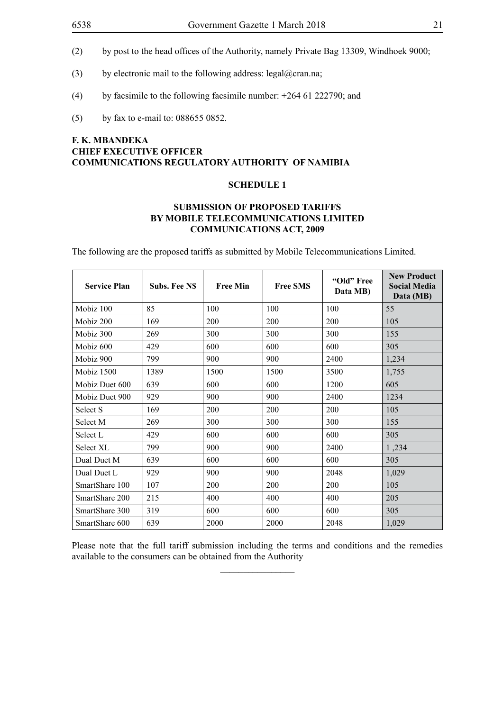- (2) by post to the head offices of the Authority, namely Private Bag 13309, Windhoek 9000;
- (3) by electronic mail to the following address: legal@cran.na;
- (4) by facsimile to the following facsimile number: +264 61 222790; and
- (5) by fax to e-mail to: 088655 0852.

#### **F. K. MBANDEKA CHIEF EXECUTIVE OFFICER COMMUNICATIONS REGULATORY AUTHORITY OF NAMIBIA**

#### **SCHEDULE 1**

#### **SUBMISSION OF PROPOSED TARIFFS BY MOBILE TELECOMMUNICATIONS LIMITED COMMUNICATIONS ACT, 2009**

The following are the proposed tariffs as submitted by Mobile Telecommunications Limited.

| <b>Service Plan</b> | Subs. Fee NS | <b>Free Min</b> | <b>Free SMS</b> | "Old" Free<br>Data MB) | <b>New Product</b><br><b>Social Media</b><br>Data (MB) |
|---------------------|--------------|-----------------|-----------------|------------------------|--------------------------------------------------------|
| Mobiz 100           | 85           | 100             | 100             | 100                    | 55                                                     |
| Mobiz 200           | 169          | 200             | 200             | 200                    | 105                                                    |
| Mobiz 300           | 269          | 300             | 300             | 300                    | 155                                                    |
| Mobiz 600           | 429          | 600             | 600             | 600                    | 305                                                    |
| Mobiz 900           | 799          | 900             | 900             | 2400                   | 1,234                                                  |
| Mobiz 1500          | 1389         | 1500            | 1500            | 3500                   | 1,755                                                  |
| Mobiz Duet 600      | 639          | 600             | 600             | 1200                   | 605                                                    |
| Mobiz Duet 900      | 929          | 900             | 900             | 2400                   | 1234                                                   |
| Select S            | 169          | 200             | 200             | 200                    | 105                                                    |
| Select M            | 269          | 300             | 300             | 300                    | 155                                                    |
| Select L            | 429          | 600             | 600             | 600                    | 305                                                    |
| Select XL           | 799          | 900             | 900             | 2400                   | 1,234                                                  |
| Dual Duet M         | 639          | 600             | 600             | 600                    | 305                                                    |
| Dual Duet L         | 929          | 900             | 900             | 2048                   | 1,029                                                  |
| SmartShare 100      | 107          | 200             | 200             | 200                    | 105                                                    |
| SmartShare 200      | 215          | 400             | 400             | 400                    | 205                                                    |
| SmartShare 300      | 319          | 600             | 600             | 600                    | 305                                                    |
| SmartShare 600      | 639          | 2000            | 2000            | 2048                   | 1,029                                                  |

Please note that the full tariff submission including the terms and conditions and the remedies available to the consumers can be obtained from the Authority  $\overline{\phantom{a}}$  , where  $\overline{\phantom{a}}$